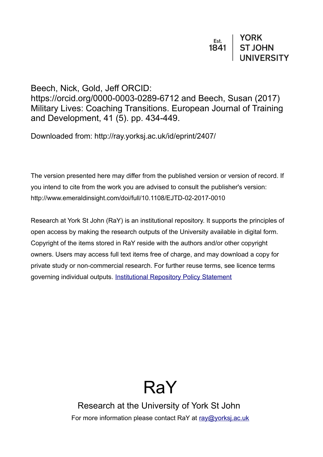Beech, Nick, Gold, Jeff ORCID: https://orcid.org/0000-0003-0289-6712 and Beech, Susan (2017) Military Lives: Coaching Transitions. European Journal of Training and Development, 41 (5). pp. 434-449.

Downloaded from: http://ray.yorksj.ac.uk/id/eprint/2407/

The version presented here may differ from the published version or version of record. If you intend to cite from the work you are advised to consult the publisher's version: http://www.emeraldinsight.com/doi/full/10.1108/EJTD-02-2017-0010

Research at York St John (RaY) is an institutional repository. It supports the principles of open access by making the research outputs of the University available in digital form. Copyright of the items stored in RaY reside with the authors and/or other copyright owners. Users may access full text items free of charge, and may download a copy for private study or non-commercial research. For further reuse terms, see licence terms governing individual outputs. [Institutional Repository Policy Statement](https://www.yorksj.ac.uk/ils/repository-policies/)

# RaY

Research at the University of York St John For more information please contact RaY at [ray@yorksj.ac.uk](mailto:ray@yorksj.ac.uk)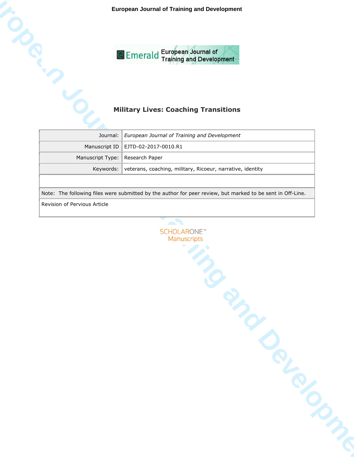**European Journal of Training and Development**



# **Military Lives: Coaching Transitions**

|                                   | Journal: European Journal of Training and Development                  |
|-----------------------------------|------------------------------------------------------------------------|
|                                   | Manuscript ID   EJTD-02-2017-0010.R1                                   |
| Manuscript Type:   Research Paper |                                                                        |
|                                   | Keywords:   veterans, coaching, military, Ricoeur, narrative, identity |
|                                   |                                                                        |

Note: The following files were submitted by the author for peer review, but marked to be sent in Off-Line.

Revision of Pervious Article

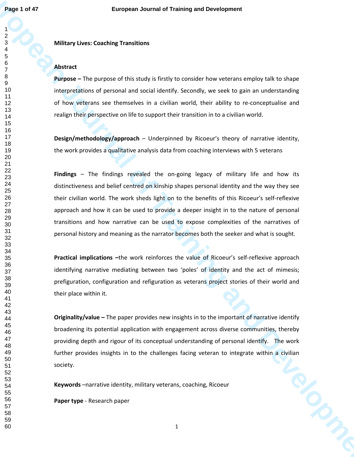#### **Military Lives: Coaching Transitions**

#### **Abstract**

**Purpose –** The purpose of this study is firstly to consider how veterans employ talk to shape interpretations of personal and social identify. Secondly, we seek to gain an understanding of how veterans see themselves in a civilian world, their ability to re-conceptualise and realign their perspective on life to support their transition in to a civilian world.

**Design/methodology/approach** – Underpinned by Ricoeur's theory of narrative identity, the work provides a qualitative analysis data from coaching interviews with 5 veterans

**European Journal of Training and Development<br>
<b>European Journal of Training and Development**<br> **European Concluse Transitions**<br> **European Concluse Training and Development**<br> **European Concluse Training and Development Prop Findings** – The findings revealed the on-going legacy of military life and how its distinctiveness and belief centred on kinship shapes personal identity and the way they see their civilian world. The work sheds light on to the benefits of this Ricoeur's self-reflexive approach and how it can be used to provide a deeper insight in to the nature of personal transitions and how narrative can be used to expose complexities of the narratives of personal history and meaning as the narrator becomes both the seeker and what is sought.

**Practical implications –**the work reinforces the value of Ricoeur's self-reflexive approach identifying narrative mediating between two 'poles' of identity and the act of mimesis; prefiguration, configuration and refiguration as veterans project stories of their world and their place within it.

**Originality/value –** The paper provides new insights in to the important of narrative identify broadening its potential application with engagement across diverse communities, thereby providing depth and rigour of its conceptual understanding of personal identify. The work further provides insights in to the challenges facing veteran to integrate within a civilian society.

**Keywords** –narrative identity, military veterans, coaching, Ricoeur

**Paper type** - Research paper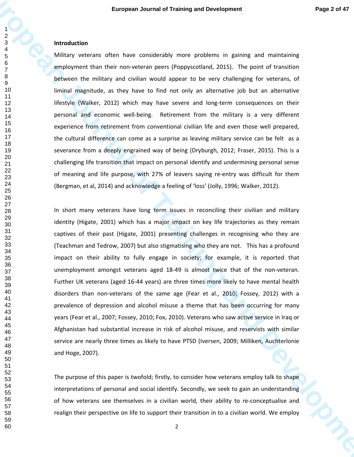#### **Introduction**

Military veterans often have considerably more problems in gaining and maintaining employment than their non-veteran peers (Poppyscotland, 2015). The point of transition between the military and civilian would appear to be very challenging for veterans, of liminal magnitude, as they have to find not only an alternative job but an alternative lifestyle (Walker, 2012) which may have severe and long-term consequences on their personal and economic well-being. Retirement from the military is a very different experience from retirement from conventional civilian life and even those well prepared, the cultural difference can come as a surprise as leaving military service can be felt as a severance from a deeply engrained way of being (Dryburgh, 2012; Fraser, 2015). This is a challenging life transition that impact on personal identify and undermining personal sense of meaning and life purpose, with 27% of leavers saying re-entry was difficult for them (Bergman, et al, 2014) and acknowledge a feeling of 'loss' (Jolly, 1996; Walker, 2012).

European Journal of Training and Development<br> **Example 10**<br> **European Journal of Training and Development<br>
European Journal of the filter considered y more substant and in the positive of multipline<br>
Proposes the military** In short many veterans have long term issues in reconciling their civilian and military identity (Higate, 2001) which has a major impact on key life trajectories as they remain captives of their past (Higate, 2001) presenting challenges in recognising who they are (Teachman and Tedrow, 2007) but also stigmatising who they are not. This has a profound impact on their ability to fully engage in society; for example, it is reported that unemployment amongst veterans aged 18-49 is almost twice that of the non-veteran. Further UK veterans (aged 16-44 years) are three times more likely to have mental health disorders than non-veterans of the same age (Fear et al., 2010; Fossey, 2012) with a prevalence of depression and alcohol misuse a theme that has been occurring for many years (Fear et al., 2007; Fossey, 2010; Fox, 2010). Veterans who saw active service in Iraq or Afghanistan had substantial increase in risk of alcohol misuse, and reservists with similar service are nearly three times as likely to have PTSD (Iversen, 2009; Milliken, Auchterlonie and Hoge, 2007).

The purpose of this paper is twofold; firstly, to consider how veterans employ talk to shape interpretations of personal and social identify. Secondly, we seek to gain an understanding of how veterans see themselves in a civilian world, their ability to re-conceptualise and realign their perspective on life to support their transition in to a civilian world. We employ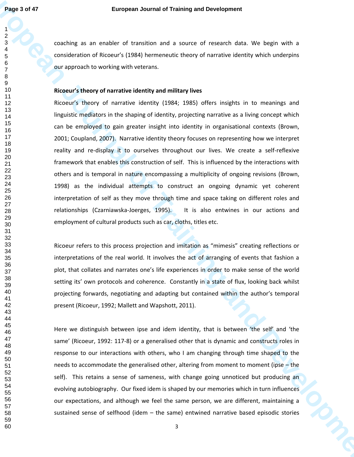coaching as an enabler of transition and a source of research data. We begin with a consideration of Ricoeur's (1984) hermeneutic theory of narrative identity which underpins our approach to working with veterans.

#### **Ricoeur's theory of narrative identity and military lives**

**European Journal of Training and Development**<br> **European Journal of Training and Development**<br> **Convention and the convention of the convention of the same state of the same of the same of the same state<br>
or convention of** Ricoeur's theory of narrative identity (1984; 1985) offers insights in to meanings and linguistic mediators in the shaping of identity, projecting narrative as a living concept which can be employed to gain greater insight into identity in organisational contexts (Brown, 2001; Coupland, 2007). Narrative identity theory focuses on representing how we interpret reality and re-display it to ourselves throughout our lives. We create a self-reflexive framework that enables this construction of self. This is influenced by the interactions with others and is temporal in nature encompassing a multiplicity of ongoing revisions (Brown, 1998) as the individual attempts to construct an ongoing dynamic yet coherent interpretation of self as they move through time and space taking on different roles and relationships (Czarniawska-Joerges, 1995). It is also entwines in our actions and employment of cultural products such as car, cloths, titles etc.

Ricoeur refers to this process projection and imitation as "mimesis" creating reflections or interpretations of the real world. It involves the act of arranging of events that fashion a plot, that collates and narrates one's life experiences in order to make sense of the world setting its' own protocols and coherence. Constantly in a state of flux, looking back whilst projecting forwards, negotiating and adapting but contained within the author's temporal present (Ricoeur, 1992; Mallett and Wapshott, 2011).

Here we distinguish between ipse and idem identity, that is between 'the self' and 'the same' (Ricoeur, 1992: 117-8) or a generalised other that is dynamic and constructs roles in response to our interactions with others, who I am changing through time shaped to the needs to accommodate the generalised other, altering from moment to moment (ipse – the self). This retains a sense of sameness, with change going unnoticed but producing an evolving autobiography. Our fixed idem is shaped by our memories which in turn influences our expectations, and although we feel the same person, we are different, maintaining a sustained sense of selfhood (idem – the same) entwined narrative based episodic stories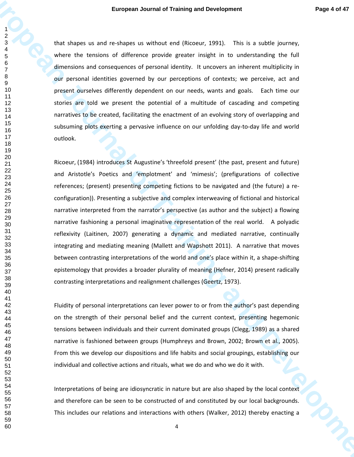that shapes us and re-shapes us without end (Ricoeur, 1991). This is a subtle journey, where the tensions of difference provide greater insight in to understanding the full dimensions and consequences of personal identity. It uncovers an inherent multiplicity in our personal identities governed by our perceptions of contexts; we perceive, act and present ourselves differently dependent on our needs, wants and goals. Each time our stories are told we present the potential of a multitude of cascading and competing narratives to be created, facilitating the enactment of an evolving story of overlapping and subsuming plots exerting a pervasive influence on our unfolding day-to-day life and world outlook.

European Journal of Training and Development<br>
<sup>2</sup><br>
<sup>2</sup><br>
<sup>2</sup><br> **European Journal of difference areasis in concernent in the anisotropy and the state of the state of difference areas in the state of the state of the state of** Ricoeur, (1984) introduces St Augustine's 'threefold present' (the past, present and future) and Aristotle's Poetics and 'emplotment' and 'mimesis'; (prefigurations of collective references; (present) presenting competing fictions to be navigated and (the future) a reconfiguration)). Presenting a subjective and complex interweaving of fictional and historical narrative interpreted from the narrator's perspective (as author and the subject) a flowing narrative fashioning a personal imaginative representation of the real world. A polyadic reflexivity (Laitinen, 2007) generating a dynamic and mediated narrative, continually integrating and mediating meaning (Mallett and Wapshott 2011). A narrative that moves between contrasting interpretations of the world and one's place within it, a shape-shifting epistemology that provides a broader plurality of meaning (Hefner, 2014) present radically contrasting interpretations and realignment challenges (Geertz, 1973).

Fluidity of personal interpretations can lever power to or from the author's past depending on the strength of their personal belief and the current context, presenting hegemonic tensions between individuals and their current dominated groups (Clegg, 1989) as a shared narrative is fashioned between groups (Humphreys and Brown, 2002; Brown et al., 2005). From this we develop our dispositions and life habits and social groupings, establishing our individual and collective actions and rituals, what we do and who we do it with.

Interpretations of being are idiosyncratic in nature but are also shaped by the local context and therefore can be seen to be constructed of and constituted by our local backgrounds. This includes our relations and interactions with others (Walker, 2012) thereby enacting a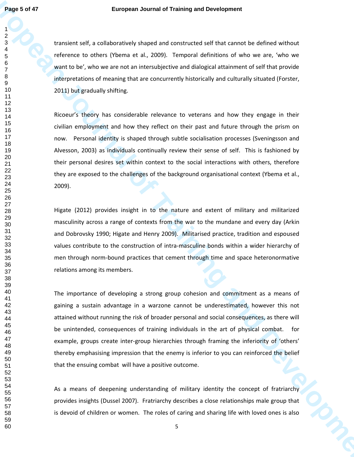transient self, a collaboratively shaped and constructed self that cannot be defined without reference to others (Ybema et al., 2009). Temporal definitions of who we are, 'who we want to be', who we are not an intersubjective and dialogical attainment of self that provide interpretations of meaning that are concurrently historically and culturally situated (Forster, 2011) but gradually shifting.

**European Journal of Training and Development**<br> **European Journal of Training and Development**<br> **European Journal of Training and Development**<br> **European Journal of Training and Development**<br> **European Journal of Training** Ricoeur's theory has considerable relevance to veterans and how they engage in their civilian employment and how they reflect on their past and future through the prism on now. Personal identity is shaped through subtle socialisation processes (Sveningsson and Alvesson, 2003) as individuals continually review their sense of self. This is fashioned by their personal desires set within context to the social interactions with others, therefore they are exposed to the challenges of the background organisational context (Ybema et al., 2009).

Higate (2012) provides insight in to the nature and extent of military and militarized masculinity across a range of contexts from the war to the mundane and every day (Arkin and Dobrovsky 1990; Higate and Henry 2009). Militarised practice, tradition and espoused values contribute to the construction of intra-masculine bonds within a wider hierarchy of men through norm-bound practices that cement through time and space heteronormative relations among its members.

The importance of developing a strong group cohesion and commitment as a means of gaining a sustain advantage in a warzone cannot be underestimated, however this not attained without running the risk of broader personal and social consequences, as there will be unintended, consequences of training individuals in the art of physical combat. for example, groups create inter-group hierarchies through framing the inferiority of 'others' thereby emphasising impression that the enemy is inferior to you can reinforced the belief that the ensuing combat will have a positive outcome.

As a means of deepening understanding of military identity the concept of fratriarchy provides insights (Dussel 2007). Fratriarchy describes a close relationships male group that is devoid of children or women. The roles of caring and sharing life with loved ones is also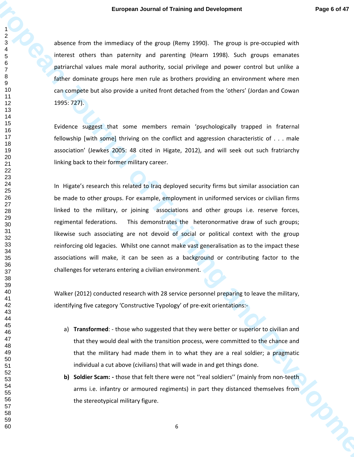absence from the immediacy of the group (Remy 1990). The group is pre-occupied with interest others than paternity and parenting (Hearn 1998). Such groups emanates patriarchal values male moral authority, social privilege and power control but unlike a father dominate groups here men rule as brothers providing an environment where men can compete but also provide a united front detached from the 'others' (Jordan and Cowan 1995: 727).

Evidence suggest that some members remain 'psychologically trapped in fraternal fellowship [with some] thriving on the conflict and aggression characteristic of . . . male association' (Jewkes 2005: 48 cited in Higate, 2012), and will seek out such fratriarchy linking back to their former military career.

**European Journal of Training and Development**<br> **Expression of Training and Development**<br> **Expression of the interaction of the properties** (them 1968), See process entranies<br> **Expression of the interaction and the method** In Higate's research this related to Iraq deployed security firms but similar association can be made to other groups. For example, employment in uniformed services or civilian firms linked to the military, or joining associations and other groups i.e. reserve forces, regimental federations. This demonstrates the heteronormative draw of such groups; likewise such associating are not devoid of social or political context with the group reinforcing old legacies. Whilst one cannot make vast generalisation as to the impact these associations will make, it can be seen as a background or contributing factor to the challenges for veterans entering a civilian environment.

Walker (2012) conducted research with 28 service personnel preparing to leave the military, identifying five category 'Constructive Typology' of pre-exit orientations:-

- a) **Transformed**: those who suggested that they were better or superior to civilian and that they would deal with the transition process, were committed to the chance and that the military had made them in to what they are a real soldier; a pragmatic individual a cut above (civilians) that will wade in and get things done.
- **b) Soldier Scam:** those that felt there were not ''real soldiers'' (mainly from non-teeth arms i.e. infantry or armoured regiments) in part they distanced themselves from the stereotypical military figure.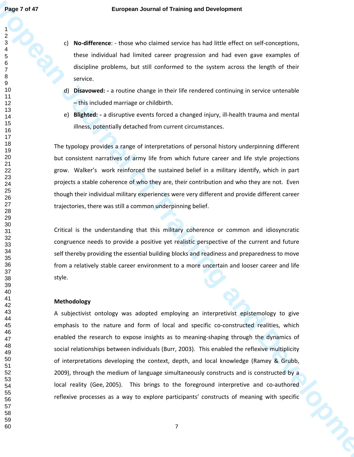- c) **No-difference**: those who claimed service has had little effect on self-conceptions, these individual had limited career progression and had even gave examples of discipline problems, but still conformed to the system across the length of their service.
- d) **Disavowed:** a routine change in their life rendered continuing in service untenable – this included marriage or childbirth.
- e) **Blighted:** a disruptive events forced a changed injury, ill-health trauma and mental illness, potentially detached from current circumstances.

The typology provides a range of interpretations of personal history underpinning different but consistent narratives of army life from which future career and life style projections grow. Walker's work reinforced the sustained belief in a military identify, which in part projects a stable coherence of who they are, their contribution and who they are not. Even though their individual military experiences were very different and provide different career trajectories, there was still a common underpinning belief.

Critical is the understanding that this military coherence or common and idiosyncratic congruence needs to provide a positive yet realistic perspective of the current and future self thereby providing the essential building blocks and readiness and preparedness to move from a relatively stable career environment to a more uncertain and looser career and life style.

#### **Methodology**

**European Journal of Training and Development**<br> **European Journal of Training and Development**<br>
2. (**We difference** - Usine which discussed by the filled effect on self-development<br>
2. (**Business policine**, and all content A subjectivist ontology was adopted employing an interpretivist epistemology to give emphasis to the nature and form of local and specific co-constructed realities, which enabled the research to expose insights as to meaning-shaping through the dynamics of social relationships between individuals (Burr, 2003). This enabled the reflexive multiplicity of interpretations developing the context, depth, and local knowledge (Ramey & Grubb, 2009), through the medium of language simultaneously constructs and is constructed by a local reality (Gee, 2005). This brings to the foreground interpretive and co-authored reflexive processes as a way to explore participants' constructs of meaning with specific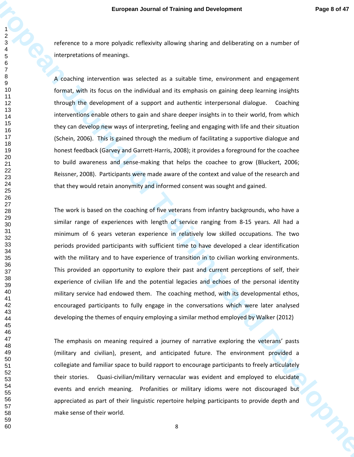reference to a more polyadic reflexivity allowing sharing and deliberating on a number of interpretations of meanings.

European Journal of Training and Development<br> **European Journal of Training**<br> **European Journal of Training and Development**<br> **European Journal of Training and Development of Training and deliberating on a number of<br>
<b>Euro** A coaching intervention was selected as a suitable time, environment and engagement format, with its focus on the individual and its emphasis on gaining deep learning insights through the development of a support and authentic interpersonal dialogue. Coaching interventions enable others to gain and share deeper insights in to their world, from which they can develop new ways of interpreting, feeling and engaging with life and their situation (Schein, 2006). This is gained through the medium of facilitating a supportive dialogue and honest feedback (Garvey and Garrett-Harris, 2008); it provides a foreground for the coachee to build awareness and sense-making that helps the coachee to grow (Bluckert, 2006; Reissner, 2008). Participants were made aware of the context and value of the research and that they would retain anonymity and informed consent was sought and gained.

The work is based on the coaching of five veterans from infantry backgrounds, who have a similar range of experiences with length of service ranging from 8-15 years. All had a minimum of 6 years veteran experience in relatively low skilled occupations. The two periods provided participants with sufficient time to have developed a clear identification with the military and to have experience of transition in to civilian working environments. This provided an opportunity to explore their past and current perceptions of self, their experience of civilian life and the potential legacies and echoes of the personal identity military service had endowed them. The coaching method, with its developmental ethos, encouraged participants to fully engage in the conversations which were later analysed developing the themes of enquiry employing a similar method employed by Walker (2012)

The emphasis on meaning required a journey of narrative exploring the veterans' pasts (military and civilian), present, and anticipated future. The environment provided a collegiate and familiar space to build rapport to encourage participants to freely articulately their stories. Quasi-civilian/military vernacular was evident and employed to elucidate events and enrich meaning. Profanities or military idioms were not discouraged but appreciated as part of their linguistic repertoire helping participants to provide depth and make sense of their world.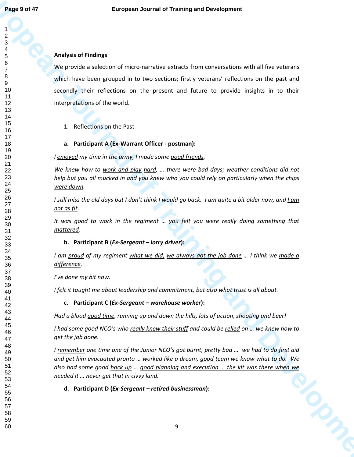# **Analysis of Findings**

**European Journal of Training and Development**<br> **European Journal of Training**<br> **Analysis of Finding<br>
<b>E**<br> **Analysis of Finding**<br> **European Journal of Finding**<br> **European Journal of Finding and Development**<br> **European Jou** We provide a selection of micro-narrative extracts from conversations with all five veterans which have been grouped in to two sections; firstly veterans' reflections on the past and secondly their reflections on the present and future to provide insights in to their interpretations of the world.

1. Reflections on the Past

# **a. Participant A (Ex-Warrant Officer - postman):**

*I enjoyed my time in the army, I made some good friends.* 

We knew how to work and play hard, ... there were bad days; weather conditions did not *help but you all mucked in and you knew who you could rely on particularly when the chips were down.* 

*I still miss the old days but I don't think I would go back. I am quite a bit older now, and I am not as fit.* 

*It was good to work in the regiment … you felt you were really doing something that mattered.* 

# **b. Participant B (***Ex-Sergeant – lorry driver***):**

*I am proud of my regiment what we did, we always got the job done ... I think we made a difference.* 

*I've done my bit now.* 

*I felt it taught me about leadership and commitment, but also what trust is all about.* 

# **c. Participant C (***Ex-Sergeant – warehouse worker***):**

*Had a blood good time, running up and down the hills, lots of action, shooting and beer!* 

*I had some good NCO's who really knew their stuff and could be relied on … we knew how to get the job done.* 

*I remember one time one of the Junior NCO's got burnt, pretty bad … we had to do first aid and get him evacuated pronto … worked like a dream, good team we know what to do. We also had some good back up … good planning and execution … the kit was there when we needed it … never get that in civvy land.* 

**d. Participant D (***Ex-Sergeant – retired businessman***):**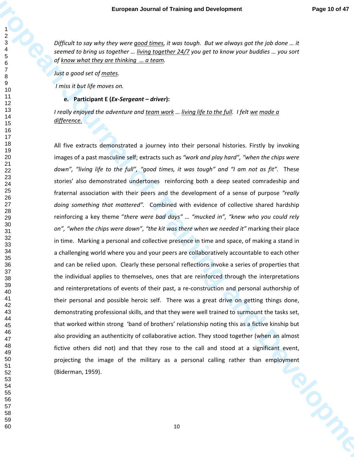*Difficult to say why they were good times, it was tough. But we always got the job done … it seemed to bring us together … living together 24/7 you get to know your buddies … you sort of know what they are thinking … a team.* 

*Just a good set of mates.* 

 *I miss it but life moves on.* 

**e. Participant E (***Ex-Sergeant – driver***):**

*I really enjoyed the adventure and team work … living life to the full. I felt we made a difference.*

**European Journal of Training and Development**<br> **European Journal of Training and Development**<br> **Experimental of the set of the set of the set of the set of the set of the set of the set of the set of the set of the set of** All five extracts demonstrated a journey into their personal histories. Firstly by invoking images of a past masculine self; extracts such as *"work and play hard", "when the chips were down", "living life to the full", "good times, it was tough" and "I am not as fit"*. These stories' also demonstrated undertones reinforcing both a deep seated comradeship and fraternal association with their peers and the development of a sense of purpose *"really doing something that mattered".* Combined with evidence of collective shared hardship reinforcing a key theme "*there were bad days" … "mucked in", "knew who you could rely on", "when the chips were down", "the kit was there when we needed it"* marking their place in time. Marking a personal and collective presence in time and space, of making a stand in a challenging world where you and your peers are collaboratively accountable to each other and can be relied upon*.* Clearly these personal reflections invoke a series of properties that the individual applies to themselves, ones that are reinforced through the interpretations and reinterpretations of events of their past, a re-construction and personal authorship of their personal and possible heroic self. There was a great drive on getting things done, demonstrating professional skills, and that they were well trained to surmount the tasks set, that worked within strong 'band of brothers' relationship noting this as a fictive kinship but also providing an authenticity of collaborative action. They stood together (when an almost fictive others did not) and that they rose to the call and stood at a significant event, projecting the image of the military as a personal calling rather than employment<br>(Biderman, 1959). (Biderman, 1959).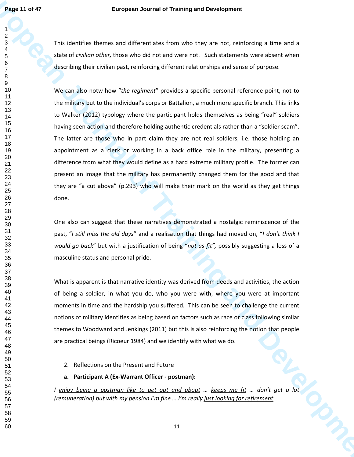This identifies themes and differentiates from who they are not, reinforcing a time and a state of *civilian other,* those who did not and were not. Such statements were absent when describing their civilian past, reinforcing different relationships and sense of purpose.

**European Journal of Training and Development**<br> **European Journal of Training and Development**<br> **European Journal of Training and Development**<br> **European Journal of the United State of the United State and State of the Un** We can also notw how "*the regiment*" provides a specific personal reference point, not to the military but to the individual's corps or Battalion, a much more specific branch. This links to Walker (2012) typology where the participant holds themselves as being "real" soldiers having seen action and therefore holding authentic credentials rather than a "soldier scam". The latter are those who in part claim they are not real soldiers, i.e. those holding an appointment as a clerk or working in a back office role in the military, presenting a difference from what they would define as a hard extreme military profile. The former can present an image that the military has permanently changed them for the good and that they are "a cut above" (p.293) who will make their mark on the world as they get things done.

One also can suggest that these narratives demonstrated a nostalgic reminiscence of the past, "*I still miss the old days*" and a realisation that things had moved on, "*I don't think I would go back*" but with a justification of being "*not as fit",* possibly suggesting a loss of a masculine status and personal pride.

What is apparent is that narrative identity was derived from deeds and activities, the action of being a soldier, in what you do, who you were with, where you were at important moments in time and the hardship you suffered. This can be seen to challenge the current notions of military identities as being based on factors such as race or class following similar themes to Woodward and Jenkings (2011) but this is also reinforcing the notion that people are practical beings (Ricoeur 1984) and we identify with what we do.

2. Reflections on the Present and Future

# **a. Participant A (Ex-Warrant Officer - postman):**

*I enjoy being a postman like to get out and about ... keeps me fit ... don't get a lot (remuneration) but with my pension I'm fine … I'm really just looking for retirement*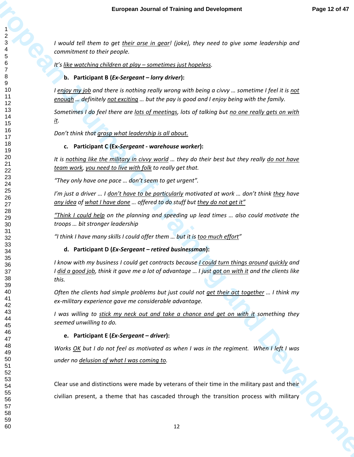*I* would tell them to get their arse in gear! (joke), they need to give some leadership and *commitment to their people.* 

*It's like watching children at play – sometimes just hopeless.* 

## **b. Participant B (***Ex-Sergeant – lorry driver***):**

*I enjoy my job and there is nothing really wrong with being a civvy … sometime I feel it is not enough … definitely not exciting … but the pay is good and I enjoy being with the family.* 

*Sometimes I do feel there are lots of meetings, lots of talking but no one really gets on with it.* 

*Don't think that grasp what leadership is all about.* 

## **c. Participant C (Ex***-Sergeant - warehouse worker***):**

*It is nothing like the military in civvy world … they do their best but they really do not have team work, you need to live with folk to really get that.* 

*"They only have one pace … don't seem to get urgent".* 

*I'm just a driver … I don't have to be particularly motivated at work … don't think they have any idea of what I have done … offered to do stuff but they do not get it"* 

*"Think I could help on the planning and speeding up lead times … also could motivate the troops … bit stronger leadership* 

*"I think I have many skills I could offer them … but it is too much effort"* 

# **d. Participant D (***Ex-Sergeant – retired businessman***):**

European Journal of Training and Development<br> **Example and the content of the state of the state of the state of the state of the state of the state of the state of the state of the state of the state of the state of the s** *I know with my business I could get contracts because I could turn things around quickly and I did a good job, think it gave me a lot of advantage … I just got on with it and the clients like this.* 

*Often the clients had simple problems but just could not get their act together … I think my ex-military experience gave me considerable advantage.* 

*I* was willing to stick my neck out and take a chance and get on with it something they *seemed unwilling to do.* 

#### **e. Participant E (***Ex-Sergeant – driver***):**

*Works OK but I do not feel as motivated as when I was in the regiment. When I left I was under no delusion of what I was coming to.* 

Clear use and distinctions were made by veterans of their time in the military past and their civilian present, a theme that has cascaded through the transition process with military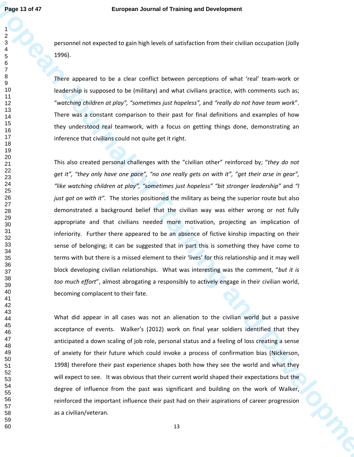personnel not expected to gain high levels of satisfaction from their civilian occupation (Jolly 1996).

There appeared to be a clear conflict between perceptions of what 'real' team-work or leadership is supposed to be (military) and what civilians practice, with comments such as; "*watching children at play", "sometimes just hopeless",* and *"really do not have team work*". There was a constant comparison to their past for final definitions and examples of how they understood real teamwork, with a focus on getting things done, demonstrating an inference that civilians could not quite get it right.

**European Journal of Training and Development**<br> **European Journal of Training and Development**<br> **European Journal of Training and Development**<br> **European Journal of the European Journal of Training and Development**<br> **Euro** This also created personal challenges with the "civilian other" reinforced by; "*they do not get it", "they only have one pace", "no one really gets on with it", "get their arse in gear", "like watching children at play", "sometimes just hopeless" "bit stronger leadership"* and *"I just got on with it".* The stories positioned the military as being the superior route but also demonstrated a background belief that the civilian way was either wrong or not fully appropriate and that civilians needed more motivation, projecting an implication of inferiority. Further there appeared to be an absence of fictive kinship impacting on their sense of belonging; it can be suggested that in part this is something they have come to terms with but there is a missed element to their 'lives' for this relationship and it may well block developing civilian relationships. What was interesting was the comment, "*but it is too much effort*", almost abrogating a responsibly to actively engage in their civilian world, becoming complacent to their fate.

What did appear in all cases was not an alienation to the civilian world but a passive acceptance of events. Walker's (2012) work on final year soldiers identified that they anticipated a down scaling of job role, personal status and a feeling of loss creating a sense of anxiety for their future which could invoke a process of confirmation bias (Nickerson, 1998) therefore their past experience shapes both how they see the world and what they will expect to see. It was obvious that their current world shaped their expectations but the degree of influence from the past was significant and building on the work of Walker, reinforced the important influence their past had on their aspirations of career progression as a civilian/veteran.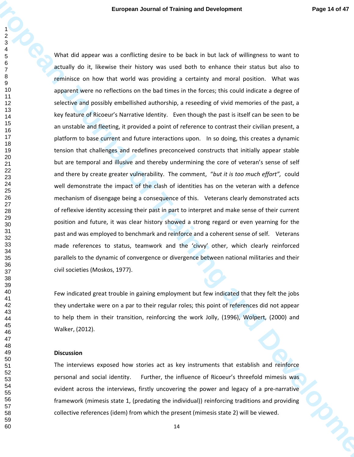European Journal of Training and Development<br>
Page t4 of H<br>
2<br>
Page t4 of H<br>
2<br>
Page t4 of H<br>
2<br>
Page t4 of H<br>
2<br>
Page t4 of H<br>
2<br>
Page t4 of H<br>
2<br>
Page t4 of H<br>
2<br>
Page t4 of H<br>
2<br>
Page t4 of H<br>
2<br>
Page t4 of H<br>
2<br>
Page t What did appear was a conflicting desire to be back in but lack of willingness to want to actually do it, likewise their history was used both to enhance their status but also to reminisce on how that world was providing a certainty and moral position. What was apparent were no reflections on the bad times in the forces; this could indicate a degree of selective and possibly embellished authorship, a reseeding of vivid memories of the past, a key feature of Ricoeur's Narrative Identity. Even though the past is itself can be seen to be an unstable and fleeting, it provided a point of reference to contrast their civilian present, a platform to base current and future interactions upon. In so doing, this creates a dynamic tension that challenges and redefines preconceived constructs that initially appear stable but are temporal and illusive and thereby undermining the core of veteran's sense of self and there by create greater vulnerability. The comment, "*but it is too much effort",* could well demonstrate the impact of the clash of identities has on the veteran with a defence mechanism of disengage being a consequence of this. Veterans clearly demonstrated acts of reflexive identity accessing their past in part to interpret and make sense of their current position and future, it was clear history showed a strong regard or even yearning for the past and was employed to benchmark and reinforce and a coherent sense of self. Veterans made references to status, teamwork and the 'civvy' other, which clearly reinforced parallels to the dynamic of convergence or divergence between national militaries and their civil societies (Moskos, 1977).

Few indicated great trouble in gaining employment but few indicated that they felt the jobs they undertake were on a par to their regular roles; this point of references did not appear to help them in their transition, reinforcing the work Jolly, (1996), Wolpert, (2000) and Walker, (2012).

#### **Discussion**

The interviews exposed how stories act as key instruments that establish and reinforce personal and social identity. Further, the influence of Ricoeur's threefold mimesis was evident across the interviews, firstly uncovering the power and legacy of a pre-narrative framework (mimesis state 1, (predating the individual)) reinforcing traditions and providing collective references (idem) from which the present (mimesis state 2) will be viewed.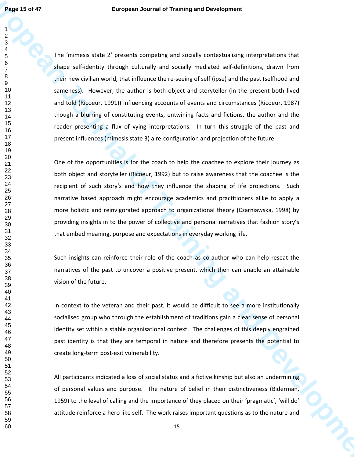**European Journal of Training and Development**<br> **European Journal of Training and Bevelopment**<br> **European Journal of Training and Bevelopment**<br> **European Continue II** and Training and Bevelopment<br> **European Journal of Trai** The 'mimesis state 2' presents competing and socially contextualising interpretations that shape self-identity through culturally and socially mediated self-definitions, drawn from their new civilian world, that influence the re-seeing of self (ipse) and the past (selfhood and sameness). However, the author is both object and storyteller (in the present both lived and told (Ricoeur, 1991)) influencing accounts of events and circumstances (Ricoeur, 1987) though a blurring of constituting events, entwining facts and fictions, the author and the reader presenting a flux of vying interpretations. In turn this struggle of the past and present influences (mimesis state 3) a re-configuration and projection of the future.

One of the opportunities is for the coach to help the coachee to explore their journey as both object and storyteller (Ricoeur, 1992) but to raise awareness that the coachee is the recipient of such story's and how they influence the shaping of life projections. Such narrative based approach might encourage academics and practitioners alike to apply a more holistic and reinvigorated approach to organizational theory (Czarniawska, 1998) by providing insights in to the power of collective and personal narratives that fashion story's that embed meaning, purpose and expectations in everyday working life.

Such insights can reinforce their role of the coach as co-author who can help reseat the narratives of the past to uncover a positive present, which then can enable an attainable vision of the future.

In context to the veteran and their past, it would be difficult to see a more institutionally socialised group who through the establishment of traditions gain a clear sense of personal identity set within a stable organisational context. The challenges of this deeply engrained past identity is that they are temporal in nature and therefore presents the potential to create long-term post-exit vulnerability.

All participants indicated a loss of social status and a fictive kinship but also an undermining of personal values and purpose. The nature of belief in their distinctiveness (Biderman, 1959) to the level of calling and the importance of they placed on their 'pragmatic', 'will do' attitude reinforce a hero like self. The work raises important questions as to the nature and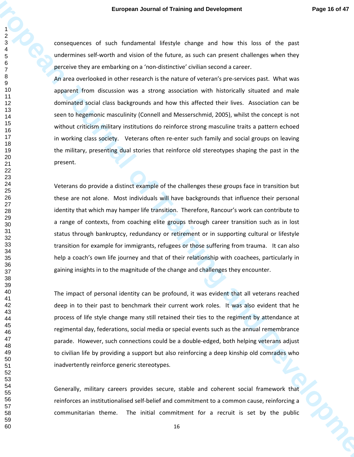consequences of such fundamental lifestyle change and how this loss of the past undermines self-worth and vision of the future, as such can present challenges when they perceive they are embarking on a 'non-distinctive' civilian second a career.

**European Journal of Training and Development**<br> **European Journal of Training and Development**<br> **Experiments of Such Turbulnumide Training and Development**<br> **Experiments before the stress of the factor, as and one present** An area overlooked in other research is the nature of veteran's pre-services past. What was apparent from discussion was a strong association with historically situated and male dominated social class backgrounds and how this affected their lives. Association can be seen to hegemonic masculinity (Connell and Messerschmid, 2005), whilst the concept is not without criticism military institutions do reinforce strong masculine traits a pattern echoed in working class society. Veterans often re-enter such family and social groups on leaving the military, presenting dual stories that reinforce old stereotypes shaping the past in the present.

Veterans do provide a distinct example of the challenges these groups face in transition but these are not alone. Most individuals will have backgrounds that influence their personal identity that which may hamper life transition. Therefore, Rancour's work can contribute to a range of contexts, from coaching elite groups through career transition such as in lost status through bankruptcy, redundancy or retirement or in supporting cultural or lifestyle transition for example for immigrants, refugees or those suffering from trauma. It can also help a coach's own life journey and that of their relationship with coachees, particularly in gaining insights in to the magnitude of the change and challenges they encounter.

The impact of personal identity can be profound, it was evident that all veterans reached deep in to their past to benchmark their current work roles. It was also evident that he process of life style change many still retained their ties to the regiment by attendance at regimental day, federations, social media or special events such as the annual remembrance parade. However, such connections could be a double-edged, both helping veterans adjust to civilian life by providing a support but also reinforcing a deep kinship old comrades who inadvertently reinforce generic stereotypes.

Generally, military careers provides secure, stable and coherent social framework that reinforces an institutionalised self-belief and commitment to a common cause, reinforcing a communitarian theme. The initial commitment for a recruit is set by the public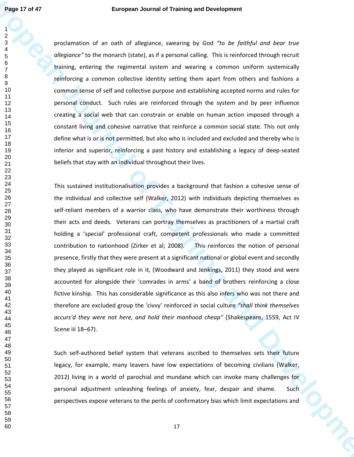proclamation of an oath of allegiance, swearing by God *"to be faithful and bear true allegiance"* to the monarch (state), as if a personal calling. This is reinforced through recruit training, entering the regimental system and wearing a common uniform systemically reinforcing a common collective identity setting them apart from others and fashions a common sense of self and collective purpose and establishing accepted norms and rules for personal conduct. Such rules are reinforced through the system and by peer influence creating a social web that can constrain or enable on human action imposed through a constant living and cohesive narrative that reinforce a common social state. This not only define what is or is not permitted, but also who is included and excluded and thereby who is inferior and superior, reinforcing a past history and establishing a legacy of deep-seated beliefs that stay with an individual throughout their lives.

**European Journal of Training and Development**<br> **European Journal of Training and Development**<br> **European Journal of Training and Development**<br> **European Journal of Training and Development**<br> **European Journal of Training** This sustained institutionalisation provides a background that fashion a cohesive sense of the individual and collective self (Walker, 2012) with individuals depicting themselves as self-reliant members of a warrior class, who have demonstrate their worthiness through their acts and deeds. Veterans can portray themselves as practitioners of a martial craft holding a 'special' professional craft, competent professionals who made a committed contribution to nationhood (Zirker et al; 2008). This reinforces the notion of personal presence, firstly that they were present at a significant national or global event and secondly they played as significant role in it, (Woodward and Jenkings, 2011) they stood and were accounted for alongside their 'comrades in arms' a band of brothers reinforcing a close fictive kinship. This has considerable significance as this also infers who was not there and therefore are excluded group the 'civvy' reinforced in social culture *"shall think themselves accurs'd they were not here, and hold their manhood cheap"* (Shakespeare, 1559, Act IV Scene iii 18–67).

Such self-authored belief system that veterans ascribed to themselves sets their future legacy, for example, many leavers have low expectations of becoming civilians (Walker, 2012) living in a world of parochial and mundane which can invoke many challenges for personal adjustment unleashing feelings of anxiety, fear, despair and shame. Such perspectives expose veterans to the perils of confirmatory bias which limit expectations and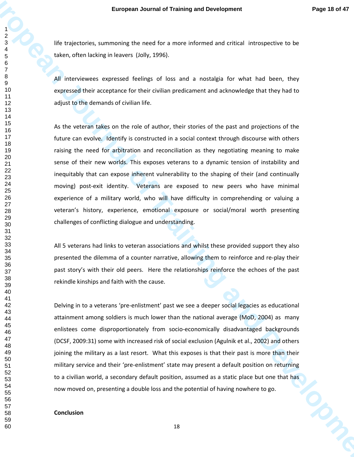life trajectories, summoning the need for a more informed and critical introspective to be taken, often lacking in leavers (Jolly, 1996).

All interviewees expressed feelings of loss and a nostalgia for what had been, they expressed their acceptance for their civilian predicament and acknowledge that they had to adjust to the demands of civilian life.

European Journal of Training and Development<br> **European Journal of Training and Development**<br> **European Journal of the comparison of the stress control of the stress profile of the comparison of the stress control of the s** As the veteran takes on the role of author, their stories of the past and projections of the future can evolve. Identify is constructed in a social context through discourse with others raising the need for arbitration and reconciliation as they negotiating meaning to make sense of their new worlds. This exposes veterans to a dynamic tension of instability and inequitably that can expose inherent vulnerability to the shaping of their (and continually moving) post-exit identity. Veterans are exposed to new peers who have minimal experience of a military world, who will have difficulty in comprehending or valuing a veteran's history, experience, emotional exposure or social/moral worth presenting challenges of conflicting dialogue and understanding.

All 5 veterans had links to veteran associations and whilst these provided support they also presented the dilemma of a counter narrative, allowing them to reinforce and re-play their past story's with their old peers. Here the relationships reinforce the echoes of the past rekindle kinships and faith with the cause.

Delving in to a veterans 'pre-enlistment' past we see a deeper social legacies as educational attainment among soldiers is much lower than the national average (MoD, 2004) as many enlistees come disproportionately from socio-economically disadvantaged backgrounds (DCSF, 2009:31) some with increased risk of social exclusion (Agulnik et al., 2002) and others joining the military as a last resort. What this exposes is that their past is more than their military service and their 'pre-enlistment' state may present a default position on returning to a civilian world, a secondary default position, assumed as a static place but one that has now moved on, presenting a double loss and the potential of having nowhere to go.

## **Conclusion**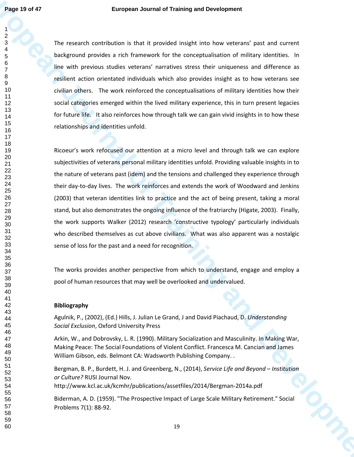The research contribution is that it provided insight into how veterans' past and current background provides a rich framework for the conceptualisation of military identities. In line with previous studies veterans' narratives stress their uniqueness and difference as resilient action orientated individuals which also provides insight as to how veterans see civilian others. The work reinforced the conceptualisations of military identities how their social categories emerged within the lived military experience, this in turn present legacies for future life. It also reinforces how through talk we can gain vivid insights in to how these relationships and identities unfold.

**European Journal of Training and Development**<br> **European Journal of Training and Development**<br> **European Journal of Training and Development**<br> **European Journal of Training and Development**<br> **European Journal of Training** Ricoeur's work refocused our attention at a micro level and through talk we can explore subjectivities of veterans personal military identities unfold. Providing valuable insights in to the nature of veterans past (idem) and the tensions and challenged they experience through their day-to-day lives. The work reinforces and extends the work of Woodward and Jenkins (2003) that veteran identities link to practice and the act of being present, taking a moral stand, but also demonstrates the ongoing influence of the fratriarchy (Higate, 2003). Finally, the work supports Walker (2012) research 'constructive typology' particularly individuals who described themselves as cut above civilians. What was also apparent was a nostalgic sense of loss for the past and a need for recognition.

The works provides another perspective from which to understand, engage and employ a pool of human resources that may well be overlooked and undervalued.

# **Bibliography**

Agulnik, P., (2002), (Ed.) Hills, J. Julian Le Grand, J and David Piachaud, D. *Understanding Social Exclusion*, Oxford University Press

Arkin, W., and Dobrovsky, L. R. (1990). Military Socialization and Masculinity. In Making War, Making Peace: The Social Foundations of Violent Conflict. Francesca M. Cancian and James William Gibson, eds. Belmont CA: Wadsworth Publishing Company. .

Bergman, B. P., Burdett, H. J. and Greenberg, N., (2014), *Service Life and Beyond – Institution or Culture?* RUSI Journal Nov. http://www.kcl.ac.uk/kcmhr/publications/assetfiles/2014/Bergman-2014a.pdf

Biderman, A. D. (1959). "The Prospective Impact of Large Scale Military Retirement." Social Problems 7(1): 88-92.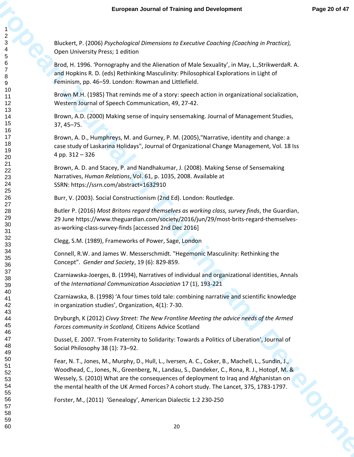Bluckert, P. (2006) *Psychological Dimensions to Executive Coaching (Coaching in Practice),* Open University Press; 1 edition

Brod, H. 1996. 'Pornography and the Alienation of Male Sexuality', in May, L.,StrikwerdaR. A. and Hopkins R. D. (eds) Rethinking Masculinity: Philosophical Explorations in Light of Feminism, pp. 46–59. London: Rowman and Littlefield.

Brown M.H. (1985) That reminds me of a story: speech action in organizational socialization, Western Journal of Speech Communication, 49, 27-42.

Brown, A.D. (2000) Making sense of inquiry sensemaking. Journal of Management Studies, 37, 45–75.

Brown, A. D., Humphreys, M. and Gurney, P. M. (2005),"Narrative, identity and change: a case study of Laskarina Holidays", Journal of Organizational Change Management, Vol. 18 Iss 4 pp. 312 – 326

Brown, A. D. and Stacey, P. and Nandhakumar, J. (2008). Making Sense of Sensemaking Narratives, *Human Relations*, Vol. 61, p. 1035, 2008. Available at SSRN: https://ssrn.com/abstract=1632910

Burr, V. (2003). Social Constructionism (2nd Ed). London: Routledge.

Butler P. (2016) *Most Britons regard themselves as working class, survey finds*, the Guardian, 29 June https://www.theguardian.com/society/2016/jun/29/most-brits-regard-themselvesas-working-class-survey-finds [accessed 2nd Dec 2016]

Clegg, S.M. (1989), Frameworks of Power, Sage, London

Connell, R.W. and James W. Messerschmidt. "Hegemonic Masculinity: Rethinking the Concept". *Gender and Society*, 19 (6): 829-859.

Czarniawska-Joerges, B. (1994), Narratives of individual and organizational identities, Annals of the *International Communication Association* 17 (1), 193-221

Czarniawska, B. (1998) 'A four times told tale: combining narrative and scientific knowledge in organization studies', Organization, 4(1): 7-30.

Dryburgh, K (2012) *Civvy Street: The New Frontline Meeting the advice needs of the Armed Forces community in Scotland,* Citizens Advice Scotland

Dussel, E. 2007. 'From Fraternity to Solidarity: Towards a Politics of Liberation', Journal of Social Philosophy 38 (1): 73–92.

**European Journal of Training and Development**<br> **European Journal of Training and Development**<br> **Eq. (a)** We consider the consideration of the second of the second of the second of the second of the second of the second of Fear, N. T., Jones, M., Murphy, D., Hull, L., Iversen, A. C., Coker, B., Machell, L., Sundin, J., Woodhead, C., Jones, N., Greenberg, N., Landau, S., Dandeker, C., Rona, R. J., Hotopf, M. & Wessely, S. (2010) What are the consequences of deployment to Iraq and Afghanistan on the mental health of the UK Armed Forces? A cohort study. The Lancet, 375, 1783-1797.

Forster, M., (2011) 'Genealogy', American Dialectic 1:2 230-250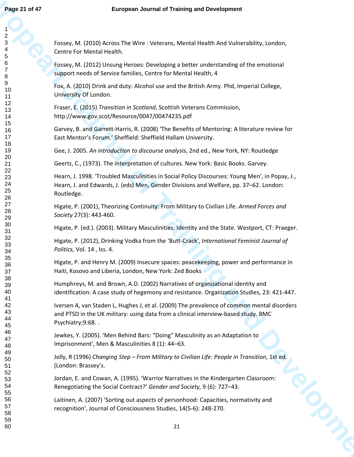Fossey, M. (2010) Across The Wire : Veterans, Mental Health And Vulnerability, London, Centre For Mental Health.

Fossey, M. (2012) Unsung Heroes: Developing a better understanding of the emotional support needs of Service families, Centre for Mental Health, 4

Fox, A. (2010) Drink and duty: Alcohol use and the British Army. Phd, Imperial College, University Of London.

Fraser, E. (2015) *Transition in Scotland*, Scottish Veterans Commission, http://www.gov.scot/Resource/0047/00474235.pdf

Garvey, B. and Garrett-Harris, R. (2008) 'The Benefits of Mentoring: A literature review for East Mentor's Forum.' Sheffield: Sheffield Hallam University.

Gee, J. 2005. *An introduction to discourse analysis*, 2nd ed., New York, NY: Routledge

Geertz, C., (1973). The interpretation of cultures. New York: Basic Books. Garvey.

**European Journal of Training and Development**<br>
2.<br>
2. Covers M.13015) Accus <sup>The</sup> Wire : Veterian, Veteria<sup>n</sup> Selforby Valversid<sup>30</sup>, Lomony,<br>
2. Covers M.13015 (Accus The Wire : Veterian, Veteria Training of the emergine Hearn, J. 1998. 'Troubled Masculinities in Social Policy Discourses: Young Men', in Popay, J., Hearn, J. and Edwards, J. (eds) Men, Gender Divisions and Welfare, pp. 37–62. London: Routledge.

Higate, P. (2001), Theorizing Continuity: From Military to Civilian Life. *Armed Forces and Society* 27(3): 443-460.

Higate, P. (ed.). (2003). Military Masculinities: Identity and the State. Westport, CT: Praeger.

Higate, P. (2012), Drinking Vodka from the 'Butt-Crack', *International Feminist Journal of Politics,* Vol*.* 14 , Iss. 4.

Higate, P. and Henry M. (2009) Insecure spaces: peacekeeping, power and performance in Haiti, Kosovo and Liberia, London, New York: Zed Books

Humphreys, M. and Brown, A.D. (2002) Narratives of organizational identity and identification: A case study of hegemony and resistance. Organization Studies, 23: 421-447.

Iversen A, van Staden L, Hughes J, et al. (2009) The prevalence of common mental disorders and PTSD in the UK military: using data from a clinical interview-based study. BMC Psychiatry;9:68. .

Jewkes, Y. (2005). 'Men Behind Bars: "Doing" Masculinity as an Adaptation to Imprisonment', Men & Masculinities 8 (1): 44–63.

Jolly, R (1996) *Changing Step – From Military to Civilian Life: People in Transition*, 1st ed. (London: Brassey's.

Jordan, E. and Cowan, A. (1995). 'Warrior Narratives in the Kindergarten Classroom: Renegotiating the Social Contract?' *Gender and Society,* 9 (6): 727–43.

Laitinen, A. (2007) 'Sorting out aspects of personhood: Capacities, normativity and recognition', Journal of Consciousness Studies, 14(5-6): 248-270.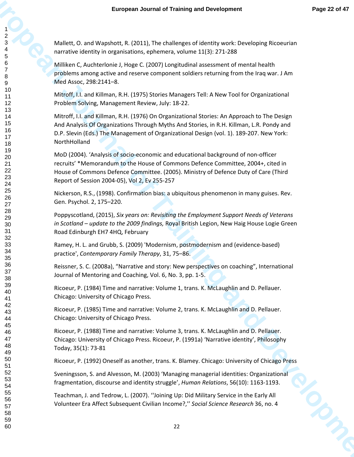Mallett, O. and Wapshott, R. (2011), The challenges of identity work: Developing Ricoeurian narrative identity in organisations, ephemera, volume 11(3): 271-288

Milliken C, Auchterlonie J, Hoge C. (2007) Longitudinal assessment of mental health problems among active and reserve component soldiers returning from the Iraq war. J Am Med Assoc, 298:2141–8.

Mitroff, I.I. and Killman, R.H. (1975) Stories Managers Tell: A New Tool for Organizational Problem Solving, Management Review, July: 18-22.

**European Journal of Training and Development**<br> **European Journal of Training and Development**<br> **European Journal of Training and Development**<br> **European Journal of Training and Development Constraine (European Voltaine Co** Mitroff, I.I. and Killman, R.H. (1976) On Organizational Stories: An Approach to The Design And Analysis Of Organizations Through Myths And Stories, in R.H. Killman, L.R. Pondy and D.P. Slevin (Eds.) The Management of Organizational Design (vol. 1). 189-207. New York: NorthHolland

MoD (2004). 'Analysis of socio-economic and educational background of non-officer recruits' \*Memorandum to the House of Commons Defence Committee, 2004+, cited in House of Commons Defence Committee. (2005). Ministry of Defence Duty of Care (Third Report of Session 2004-05), Vol 2, Ev 255-257

Nickerson, R.S., (1998). Confirmation bias: a ubiquitous phenomenon in many guises. Rev. Gen. Psychol. 2, 175–220.

Poppyscotland, (2015), *Six years on: Revisiting the Employment Support Needs of Veterans in Scotland – update to the 2009 findings,* Royal British Legion, New Haig House Logie Green Road Edinburgh EH7 4HQ, February

Ramey, H. L. and Grubb, S. (2009) 'Modernism, postmodernism and (evidence-based) practice', *Contemporary Family Therapy*, 31, 75–86.

Reissner, S. C. (2008a), "Narrative and story: New perspectives on coaching", International Journal of Mentoring and Coaching, Vol. 6, No. 3, pp. 1-5.

Ricoeur, P. (1984) Time and narrative: Volume 1, trans. K. McLaughlin and D. Pellauer. Chicago: University of Chicago Press.

Ricoeur, P. (1985) Time and narrative: Volume 2, trans. K. McLaughlin and D. Pellauer. Chicago: University of Chicago Press.

Ricoeur, P. (1988) Time and narrative: Volume 3, trans. K. McLaughlin and D. Pellauer. Chicago: University of Chicago Press. Ricoeur, P. (1991a) 'Narrative identity', Philosophy Today, 35(1): 73-81

Ricoeur, P. (1992) Oneself as another, trans. K. Blamey. Chicago: University of Chicago Press

Sveningsson, S. and Alvesson, M. (2003) 'Managing managerial identities: Organizational fragmentation, discourse and identity struggle', *Human Relations*, 56(10): 1163-1193.

Teachman, J. and Tedrow, L. (2007). ''Joining Up: Did Military Service in the Early All Volunteer Era Affect Subsequent Civilian Income?,'' *Social Science Research* 36, no. 4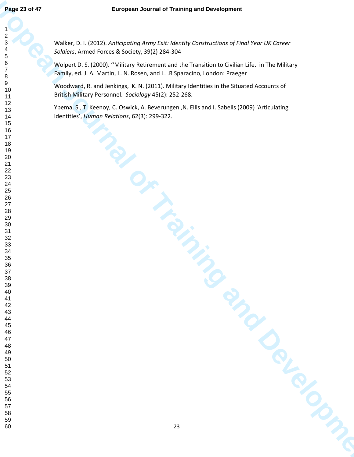Walker, D. I. (2012). *Anticipating Army Exit: Identity Constructions of Final Year UK Career Soldiers*, Armed Forces & Society, 39(2) 284-304

Wolpert D. S. (2000). ''Military Retirement and the Transition to Civilian Life. in The Military Family, ed. J. A. Martin, L. N. Rosen, and L. .R Sparacino, London: Praeger

Woodward, R. and Jenkings, K. N. (2011). Military Identities in the Situated Accounts of British Military Personnel. *Sociology* 45(2): 252-268.

Ybema, S., T. Keenoy, C. Oswick, A. Beverungen , N. Ellis and I. Sabelis (2009) 'Articulating identities', *Human Relations*, 62(3): 299-322.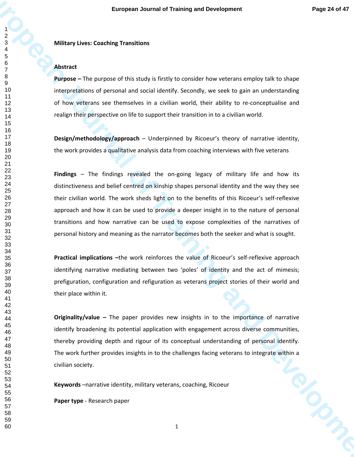#### **Military Lives: Coaching Transitions**

#### **Abstract**

**Purpose –** The purpose of this study is firstly to consider how veterans employ talk to shape interpretations of personal and social identify. Secondly, we seek to gain an understanding of how veterans see themselves in a civilian world, their ability to re-conceptualise and realign their perspective on life to support their transition in to a civilian world.

**Design/methodology/approach** – Underpinned by Ricoeur's theory of narrative identity, the work provides a qualitative analysis data from coaching interviews with five veterans

European Journal of Training and Development<br> **European Journal of Training and Development**<br> **Experimental of the matrix of Training and Development**<br> **European Continue Theorem (Figure 2018)**<br> **European Continue Training Findings** – The findings revealed the on-going legacy of military life and how its distinctiveness and belief centred on kinship shapes personal identity and the way they see their civilian world. The work sheds light on to the benefits of this Ricoeur's self-reflexive approach and how it can be used to provide a deeper insight in to the nature of personal transitions and how narrative can be used to expose complexities of the narratives of personal history and meaning as the narrator becomes both the seeker and what is sought.

**Practical implications –**the work reinforces the value of Ricoeur's self-reflexive approach identifying narrative mediating between two 'poles' of identity and the act of mimesis; prefiguration, configuration and refiguration as veterans project stories of their world and their place within it.

**Originality/value –** The paper provides new insights in to the importance of narrative identify broadening its potential application with engagement across diverse communities, thereby providing depth and rigour of its conceptual understanding of personal identify. The work further provides insights in to the challenges facing veterans to integrate within a civilian society.

**Keywords** –narrative identity, military veterans, coaching, Ricoeur

**Paper type** - Research paper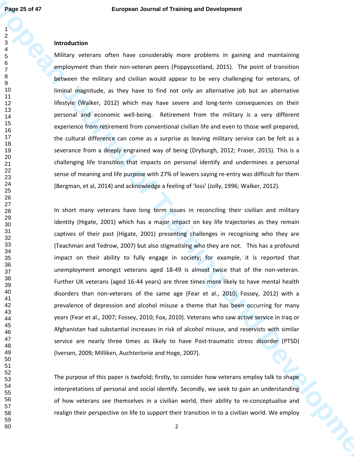#### **Introduction**

Military veterans often have considerably more problems in gaining and maintaining employment than their non-veteran peers (Poppyscotland, 2015). The point of transition between the military and civilian would appear to be very challenging for veterans, of liminal magnitude, as they have to find not only an alternative job but an alternative lifestyle (Walker, 2012) which may have severe and long-term consequences on their personal and economic well-being. Retirement from the military is a very different experience from retirement from conventional civilian life and even to those well prepared, the cultural difference can come as a surprise as leaving military service can be felt as a severance from a deeply engrained way of being (Dryburgh, 2012; Fraser, 2015). This is a challenging life transition that impacts on personal identify and undermines a personal sense of meaning and life purpose with 27% of leavers saying re-entry was difficult for them (Bergman, et al, 2014) and acknowledge a feeling of 'loss' (Jolly, 1996; Walker, 2012).

**European Journal of Training and Development**<br> **European Journal of Training and Development**<br> **European Journal of Training and Development<br>
<b>European Journal of Training and Development distribution**<br> **European Journal** In short many veterans have long term issues in reconciling their civilian and military identity (Higate, 2001) which has a major impact on key life trajectories as they remain captives of their past (Higate, 2001) presenting challenges in recognising who they are (Teachman and Tedrow, 2007) but also stigmatising who they are not. This has a profound impact on their ability to fully engage in society; for example, it is reported that unemployment amongst veterans aged 18-49 is almost twice that of the non-veteran. Further UK veterans (aged 16-44 years) are three times more likely to have mental health disorders than non-veterans of the same age (Fear et al., 2010; Fossey, 2012) with a prevalence of depression and alcohol misuse a theme that has been occurring for many years (Fear et al., 2007; Fossey, 2010; Fox, 2010). Veterans who saw active service in Iraq or Afghanistan had substantial increases in risk of alcohol misuse, and reservists with similar service are nearly three times as likely to have Post-traumatic stress disorder (PTSD) (Iversen, 2009; Milliken, Auchterlonie and Hoge, 2007).

The purpose of this paper is twofold; firstly, to consider how veterans employ talk to shape interpretations of personal and social identify. Secondly, we seek to gain an understanding of how veterans see themselves in a civilian world, their ability to re-conceptualise and realign their perspective on life to support their transition in to a civilian world. We employ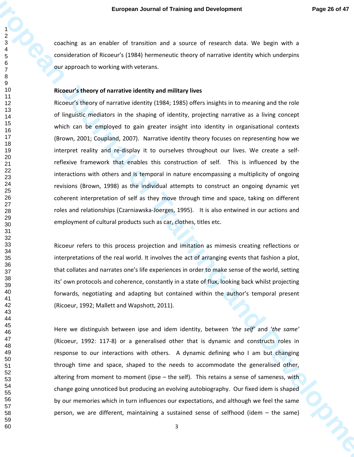coaching as an enabler of transition and a source of research data. We begin with a consideration of Ricoeur's (1984) hermeneutic theory of narrative identity which underpins our approach to working with veterans.

#### **Ricoeur's theory of narrative identity and military lives**

European Journal of Training and Development<br> **European Journal of Training and Development**<br> **Example 18** are analogous of the state of tensorial of the state of tensorial of the state of the state<br>
or any constraints are Ricoeur's theory of narrative identity (1984; 1985) offers insights in to meaning and the role of linguistic mediators in the shaping of identity, projecting narrative as a living concept which can be employed to gain greater insight into identity in organisational contexts (Brown, 2001; Coupland, 2007). Narrative identity theory focuses on representing how we interpret reality and re-display it to ourselves throughout our lives. We create a selfreflexive framework that enables this construction of self. This is influenced by the interactions with others and is temporal in nature encompassing a multiplicity of ongoing revisions (Brown, 1998) as the individual attempts to construct an ongoing dynamic yet coherent interpretation of self as they move through time and space, taking on different roles and relationships (Czarniawska-Joerges, 1995). It is also entwined in our actions and employment of cultural products such as car, clothes, titles etc.

Ricoeur refers to this process projection and imitation as mimesis creating reflections or interpretations of the real world. It involves the act of arranging events that fashion a plot, that collates and narrates one's life experiences in order to make sense of the world, setting its' own protocols and coherence, constantly in a state of flux, looking back whilst projecting forwards, negotiating and adapting but contained within the author's temporal present (Ricoeur, 1992; Mallett and Wapshott, 2011).

Here we distinguish between ipse and idem identity, between *'the self'* and '*the same'*  (Ricoeur, 1992: 117-8) or a generalised other that is dynamic and constructs roles in response to our interactions with others. A dynamic defining who I am but changing through time and space, shaped to the needs to accommodate the generalised other, altering from moment to moment (ipse – the self). This retains a sense of sameness, with change going unnoticed but producing an evolving autobiography. Our fixed idem is shaped by our memories which in turn influences our expectations, and although we feel the same person, we are different, maintaining a sustained sense of selfhood (idem – the same)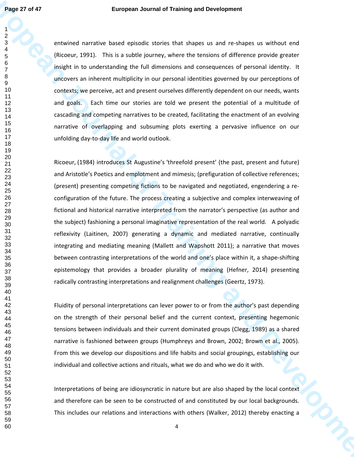entwined narrative based episodic stories that shapes us and re-shapes us without end (Ricoeur, 1991). This is a subtle journey, where the tensions of difference provide greater insight in to understanding the full dimensions and consequences of personal identity. It uncovers an inherent multiplicity in our personal identities governed by our perceptions of contexts; we perceive, act and present ourselves differently dependent on our needs, wants and goals. Each time our stories are told we present the potential of a multitude of cascading and competing narratives to be created, facilitating the enactment of an evolving narrative of overlapping and subsuming plots exerting a pervasive influence on our unfolding day-to-day life and world outlook.

**European Journal of Training and Development**<br> **European Journal of Training and Development**<br> **European Journal of Training and Development**<br> **European Journal of Training and Development**<br> **European Journal of Training** Ricoeur, (1984) introduces St Augustine's 'threefold present' (the past, present and future) and Aristotle's Poetics and emplotment and mimesis; (prefiguration of collective references; (present) presenting competing fictions to be navigated and negotiated, engendering a reconfiguration of the future. The process creating a subjective and complex interweaving of fictional and historical narrative interpreted from the narrator's perspective (as author and the subject) fashioning a personal imaginative representation of the real world. A polyadic reflexivity (Laitinen, 2007) generating a dynamic and mediated narrative, continually integrating and mediating meaning (Mallett and Wapshott 2011); a narrative that moves between contrasting interpretations of the world and one's place within it, a shape-shifting epistemology that provides a broader plurality of meaning (Hefner, 2014) presenting radically contrasting interpretations and realignment challenges (Geertz, 1973).

Fluidity of personal interpretations can lever power to or from the author's past depending on the strength of their personal belief and the current context, presenting hegemonic tensions between individuals and their current dominated groups (Clegg, 1989) as a shared narrative is fashioned between groups (Humphreys and Brown, 2002; Brown et al., 2005). From this we develop our dispositions and life habits and social groupings, establishing our individual and collective actions and rituals, what we do and who we do it with.

Interpretations of being are idiosyncratic in nature but are also shaped by the local context and therefore can be seen to be constructed of and constituted by our local backgrounds. This includes our relations and interactions with others (Walker, 2012) thereby enacting a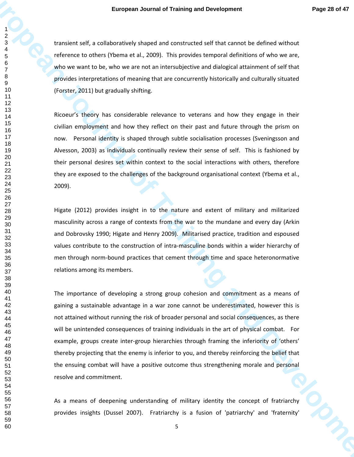transient self, a collaboratively shaped and constructed self that cannot be defined without reference to others (Ybema et al., 2009). This provides temporal definitions of who we are, who we want to be, who we are not an intersubjective and dialogical attainment of self that provides interpretations of meaning that are concurrently historically and culturally situated (Forster, 2011) but gradually shifting.

Ricoeur's theory has considerable relevance to veterans and how they engage in their civilian employment and how they reflect on their past and future through the prism on now. Personal identity is shaped through subtle socialisation processes (Sveningsson and Alvesson, 2003) as individuals continually review their sense of self. This is fashioned by their personal desires set within context to the social interactions with others, therefore they are exposed to the challenges of the background organisational context (Ybema et al., 2009).

Higate (2012) provides insight in to the nature and extent of military and militarized masculinity across a range of contexts from the war to the mundane and every day (Arkin and Dobrovsky 1990; Higate and Henry 2009). Militarised practice, tradition and espoused values contribute to the construction of intra-masculine bonds within a wider hierarchy of men through norm-bound practices that cement through time and space heteronormative relations among its members.

European Journal of Training and Development<br> **European Journal of Training and Development**<br> **Example 1988**<br> **Example 2008**<br> **Example 2008**<br> **Example 2008**<br> **Example 2008**<br> **Example 2008**<br> **Example 2008**<br> **Example 2008**<br> The importance of developing a strong group cohesion and commitment as a means of gaining a sustainable advantage in a war zone cannot be underestimated, however this is not attained without running the risk of broader personal and social consequences, as there will be unintended consequences of training individuals in the art of physical combat. For example, groups create inter-group hierarchies through framing the inferiority of 'others' thereby projecting that the enemy is inferior to you, and thereby reinforcing the belief that the ensuing combat will have a positive outcome thus strengthening morale and personal resolve and commitment.

As a means of deepening understanding of military identity the concept of fratriarchy provides insights (Dussel 2007). Fratriarchy is a fusion of 'patriarchy' and 'fraternity'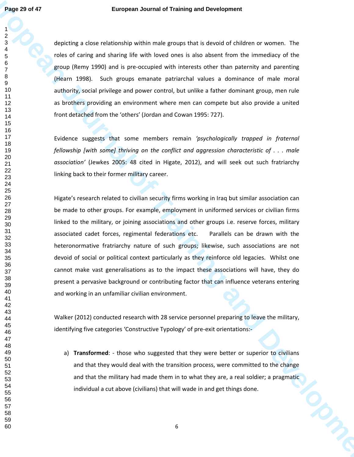depicting a close relationship within male groups that is devoid of children or women. The roles of caring and sharing life with loved ones is also absent from the immediacy of the group (Remy 1990) and is pre-occupied with interests other than paternity and parenting (Hearn 1998). Such groups emanate patriarchal values a dominance of male moral authority, social privilege and power control, but unlike a father dominant group, men rule as brothers providing an environment where men can compete but also provide a united front detached from the 'others' (Jordan and Cowan 1995: 727).

Evidence suggests that some members remain *'psychologically trapped in fraternal fellowship [with some] thriving on the conflict and aggression characteristic of . . . male association'* (Jewkes 2005: 48 cited in Higate, 2012), and will seek out such fratriarchy linking back to their former military career.

**European Journal of Training and Development**<br> **European Journal of Training and Development**<br> **Evrope of Caring and Schemic life with loved ones is also observe from the intermedies of the<br>
proper from 1990, share prospe** Higate's research related to civilian security firms working in Iraq but similar association can be made to other groups. For example, employment in uniformed services or civilian firms linked to the military, or joining associations and other groups i.e. reserve forces, military associated cadet forces, regimental federations etc. Parallels can be drawn with the heteronormative fratriarchy nature of such groups; likewise, such associations are not devoid of social or political context particularly as they reinforce old legacies. Whilst one cannot make vast generalisations as to the impact these associations will have, they do present a pervasive background or contributing factor that can influence veterans entering and working in an unfamiliar civilian environment.

Walker (2012) conducted research with 28 service personnel preparing to leave the military, identifying five categories 'Constructive Typology' of pre-exit orientations:-

a) **Transformed**: - those who suggested that they were better or superior to civilians and that they would deal with the transition process, were committed to the change and that the military had made them in to what they are, a real soldier; a pragmatic individual a cut above (civilians) that will wade in and get things done.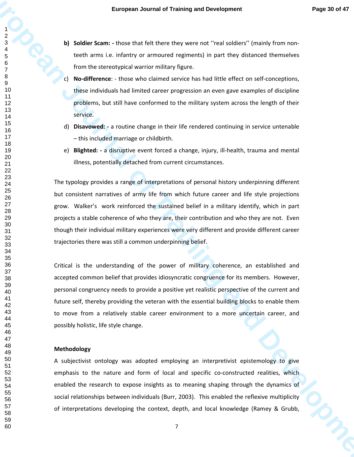- **b) Soldier Scam:** those that felt there they were not ''real soldiers'' (mainly from nonteeth arms i.e. infantry or armoured regiments) in part they distanced themselves from the stereotypical warrior military figure.
- c) **No-difference**: those who claimed service has had little effect on self-conceptions, these individuals had limited career progression an even gave examples of discipline problems, but still have conformed to the military system across the length of their service.
- d) **Disavowed:** a routine change in their life rendered continuing in service untenable – this included marriage or childbirth.
- e) **Blighted:** a disruptive event forced a change, injury, ill-health, trauma and mental illness, potentially detached from current circumstances.

**European Journal of Training and Development Page 30 of 47**<br> **European Journal of Training and Development**<br> **European Journal of the training and Development**<br> **European Journal of the training and Development**<br> **Europ** The typology provides a range of interpretations of personal history underpinning different but consistent narratives of army life from which future career and life style projections grow. Walker's work reinforced the sustained belief in a military identify, which in part projects a stable coherence of who they are, their contribution and who they are not. Even though their individual military experiences were very different and provide different career trajectories there was still a common underpinning belief.

Critical is the understanding of the power of military coherence, an established and accepted common belief that provides idiosyncratic congruence for its members. However, personal congruency needs to provide a positive yet realistic perspective of the current and future self, thereby providing the veteran with the essential building blocks to enable them to move from a relatively stable career environment to a more uncertain career, and possibly holistic, life style change.

## **Methodology**

A subjectivist ontology was adopted employing an interpretivist epistemology to give emphasis to the nature and form of local and specific co-constructed realities, which enabled the research to expose insights as to meaning shaping through the dynamics of social relationships between individuals (Burr, 2003). This enabled the reflexive multiplicity of interpretations developing the context, depth, and local knowledge (Ramey & Grubb,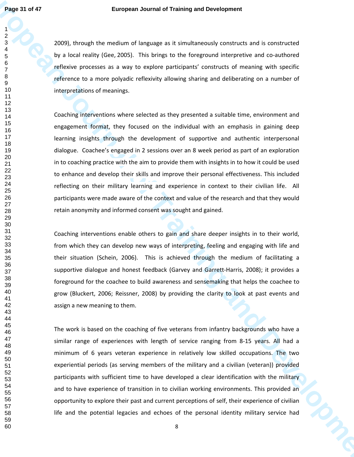2009), through the medium of language as it simultaneously constructs and is constructed by a local reality (Gee, 2005). This brings to the foreground interpretive and co-authored reflexive processes as a way to explore participants' constructs of meaning with specific reference to a more polyadic reflexivity allowing sharing and deliberating on a number of interpretations of meanings.

**European Journal of Training and Development**<br> **European Journal of Training and Development**<br> **European Journal of Training and Development**<br> **Eventual of the training and Development**<br> **Eventual of the straining and Dev** Coaching interventions where selected as they presented a suitable time, environment and engagement format, they focused on the individual with an emphasis in gaining deep learning insights through the development of supportive and authentic interpersonal dialogue. Coachee's engaged in 2 sessions over an 8 week period as part of an exploration in to coaching practice with the aim to provide them with insights in to how it could be used to enhance and develop their skills and improve their personal effectiveness. This included reflecting on their military learning and experience in context to their civilian life. All participants were made aware of the context and value of the research and that they would retain anonymity and informed consent was sought and gained.

Coaching interventions enable others to gain and share deeper insights in to their world, from which they can develop new ways of interpreting, feeling and engaging with life and their situation (Schein, 2006). This is achieved through the medium of facilitating a supportive dialogue and honest feedback (Garvey and Garrett-Harris, 2008); it provides a foreground for the coachee to build awareness and sensemaking that helps the coachee to grow (Bluckert, 2006; Reissner, 2008) by providing the clarity to look at past events and assign a new meaning to them.

The work is based on the coaching of five veterans from infantry backgrounds who have a similar range of experiences with length of service ranging from 8-15 years. All had a minimum of 6 years veteran experience in relatively low skilled occupations. The two experiential periods (as serving members of the military and a civilian (veteran)) provided participants with sufficient time to have developed a clear identification with the military and to have experience of transition in to civilian working environments. This provided an opportunity to explore their past and current perceptions of self, their experience of civilian life and the potential legacies and echoes of the personal identity military service had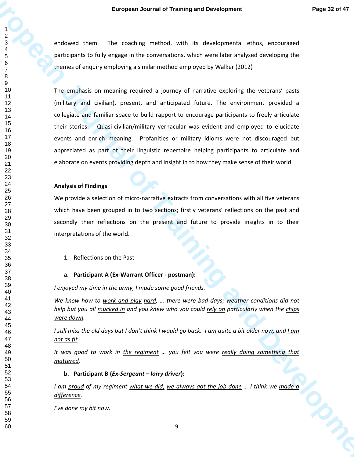endowed them. The coaching method, with its developmental ethos, encouraged participants to fully engage in the conversations, which were later analysed developing the themes of enquiry employing a similar method employed by Walker (2012)

European Journal of Training and Development<br> **European Journal of Training medical and Sovieties and Sovieties and Sovieties and Sovieties and Sovieties and Sovieties and Sovieties and Sovieties (i.e. the content of the c** The emphasis on meaning required a journey of narrative exploring the veterans' pasts (military and civilian), present, and anticipated future. The environment provided a collegiate and familiar space to build rapport to encourage participants to freely articulate their stories. Quasi-civilian/military vernacular was evident and employed to elucidate events and enrich meaning. Profanities or military idioms were not discouraged but appreciated as part of their linguistic repertoire helping participants to articulate and elaborate on events providing depth and insight in to how they make sense of their world.

#### **Analysis of Findings**

We provide a selection of micro-narrative extracts from conversations with all five veterans which have been grouped in to two sections; firstly veterans' reflections on the past and secondly their reflections on the present and future to provide insights in to their interpretations of the world.

1. Reflections on the Past

#### **a. Participant A (Ex-Warrant Officer - postman):**

*I enjoyed my time in the army, I made some good friends.* 

*We knew how to work and play hard, … there were bad days; weather conditions did not help but you all mucked in and you knew who you could rely on particularly when the chips were down.* 

*I still miss the old days but I don't think I would go back. I am quite a bit older now, and I am not as fit.* 

*It was good to work in the regiment … you felt you were really doing something that mattered.* 

## **b. Participant B (***Ex-Sergeant – lorry driver***):**

*I am proud of my regiment what we did, we always got the job done ... I think we made a difference.* 

*I've done my bit now.*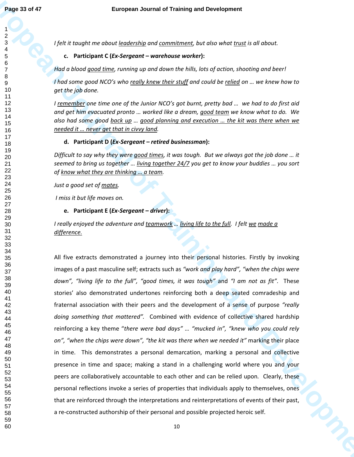*I felt it taught me about leadership and commitment, but also what trust is all about.* 

# **c. Participant C (***Ex-Sergeant – warehouse worker***):**

*Had a blood good time, running up and down the hills, lots of action, shooting and beer!* 

*I had some good NCO's who really knew their stuff and could be relied on … we knew how to get the job done.* 

*I remember one time one of the Junior NCO's got burnt, pretty bad … we had to do first aid and get him evacuated pronto … worked like a dream, good team we know what to do. We also had some good back up … good planning and execution … the kit was there when we needed it … never get that in civvy land.* 

# **d. Participant D (***Ex-Sergeant – retired businessman***):**

*Difficult to say why they were good times, it was tough. But we always got the job done … it seemed to bring us together … living together 24/7 you get to know your buddies … you sort of know what they are thinking … a team.* 

*Just a good set of mates.* 

 *I miss it but life moves on.* 

# **e. Participant E (***Ex-Sergeant – driver***):**

*I really enjoyed the adventure and teamwork … living life to the full. I felt we made a difference.*

**European Journal of Training and Development**<br>  $\frac{1}{2}$ <br>  $\frac{1}{4}$ <br>  $\frac{1}{4}$ <br>  $\frac{1}{4}$ <br>  $\frac{1}{4}$ <br>  $\frac{1}{4}$ <br>  $\frac{1}{4}$ <br>  $\frac{1}{4}$ <br>  $\frac{1}{4}$ <br>  $\frac{1}{4}$ <br>  $\frac{1}{4}$ <br>  $\frac{1}{4}$ <br>  $\frac{1}{4}$ <br>  $\frac{1}{4}$ <br>  $\frac{1}{4}$ <br>  $\frac{1}{4}$ All five extracts demonstrated a journey into their personal histories. Firstly by invoking images of a past masculine self; extracts such as *"work and play hard", "when the chips were down", "living life to the full", "good times, it was tough"* and *"I am not as fit"*. These stories' also demonstrated undertones reinforcing both a deep seated comradeship and fraternal association with their peers and the development of a sense of purpose *"really doing something that mattered".* Combined with evidence of collective shared hardship reinforcing a key theme "*there were bad days" … "mucked in", "knew who you could rely on", "when the chips were down", "the kit was there when we needed it"* marking their place in time. This demonstrates a personal demarcation, marking a personal and collective presence in time and space; making a stand in a challenging world where you and your peers are collaboratively accountable to each other and can be relied upon*.* Clearly, these personal reflections invoke a series of properties that individuals apply to themselves, ones that are reinforced through the interpretations and reinterpretations of events of their past, a re-constructed authorship of their personal and possible projected heroic self.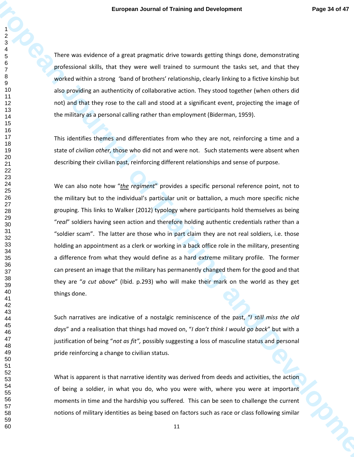There was evidence of a great pragmatic drive towards getting things done, demonstrating professional skills, that they were well trained to surmount the tasks set, and that they worked within a strong 'band of brothers' relationship, clearly linking to a fictive kinship but also providing an authenticity of collaborative action. They stood together (when others did not) and that they rose to the call and stood at a significant event, projecting the image of the military as a personal calling rather than employment (Biderman, 1959).

This identifies themes and differentiates from who they are not, reinforcing a time and a state of *civilian other,* those who did not and were not. Such statements were absent when describing their civilian past, reinforcing different relationships and sense of purpose.

European Journal of Training and Development<br> **Expression sections of the state of the state of the state of the state of the state of the state of the state of the state of the state of the state of the state of the state** We can also note how "*the regiment*" provides a specific personal reference point, not to the military but to the individual's particular unit or battalion, a much more specific niche grouping. This links to Walker (2012) typology where participants hold themselves as being "*real*" soldiers having seen action and therefore holding authentic credentials rather than a "soldier scam". The latter are those who in part claim they are not real soldiers, i.e. those holding an appointment as a clerk or working in a back office role in the military, presenting a difference from what they would define as a hard extreme military profile. The former can present an image that the military has permanently changed them for the good and that they are "*a cut above*" (Ibid. p.293) who will make their mark on the world as they get things done.

Such narratives are indicative of a nostalgic reminiscence of the past, "*I still miss the old days*" and a realisation that things had moved on, "*I don't think I would go back*" but with a justification of being "*not as fit",* possibly suggesting a loss of masculine status and personal pride reinforcing a change to civilian status.

What is apparent is that narrative identity was derived from deeds and activities, the action of being a soldier, in what you do, who you were with, where you were at important moments in time and the hardship you suffered. This can be seen to challenge the current notions of military identities as being based on factors such as race or class following similar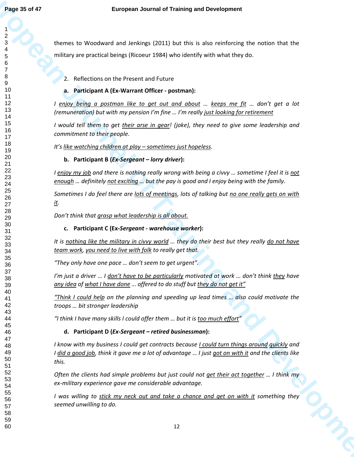themes to Woodward and Jenkings (2011) but this is also reinforcing the notion that the military are practical beings (Ricoeur 1984) who identify with what they do.

2. Reflections on the Present and Future

# **a. Participant A (Ex-Warrant Officer - postman):**

*I enjoy being a postman like to get out and about … keeps me fit … don't get a lot (remuneration) but with my pension I'm fine … I'm really just looking for retirement* 

*I* would tell them to get their arse in gear! (joke), they need to give some leadership and *commitment to their people.* 

*It's like watching children at play – sometimes just hopeless.* 

# **b. Participant B (***Ex-Sergeant – lorry driver***):**

*I enjoy my job and there is nothing really wrong with being a civvy ... sometime I feel it is not enough … definitely not exciting … but the pay is good and I enjoy being with the family.* 

*Sometimes I do feel there are lots of meetings, lots of talking but no one really gets on with it.* 

*Don't think that grasp what leadership is all about.* 

# **c. Participant C (Ex***-Sergeant - warehouse worker***):**

*It is nothing like the military in civvy world … they do their best but they really do not have team work, you need to live with folk to really get that.* 

*"They only have one pace … don't seem to get urgent".* 

I'm just a driver ... I don't have to be particularly motivated at work ... don't think they have *any idea of what I have done … offered to do stuff but they do not get it"* 

*"Think I could help on the planning and speeding up lead times … also could motivate the troops … bit stronger leadership* 

*"I think I have many skills I could offer them … but it is too much effort"* 

# **d. Participant D (***Ex-Sergeant – retired businessman***):**

**European Journal of Training and Development**<br> **European Journal of Training and Development**<br> **European Journal of Training and Development**<br> **European Journal of Training and Development**<br> **European Journal of Training** *I know with my business I could get contracts because I could turn things around quickly and I did a good job, think it gave me a lot of advantage … I just got on with it and the clients like this.* 

*Often the clients had simple problems but just could not get their act together … I think my ex-military experience gave me considerable advantage.* 

*I* was willing to stick my neck out and take a chance and get on with it something they *seemed unwilling to do.*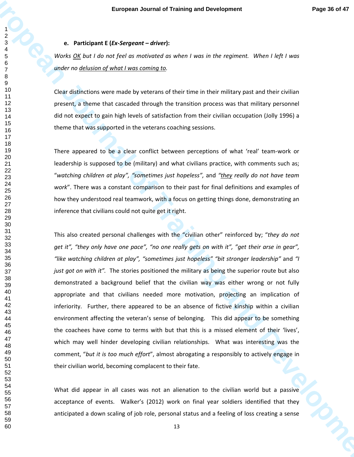## **e. Participant E (***Ex-Sergeant – driver***):**

*Works OK but I do not feel as motivated as when I was in the regiment. When I left I was under no delusion of what I was coming to.* 

Clear distinctions were made by veterans of their time in their military past and their civilian present, a theme that cascaded through the transition process was that military personnel did not expect to gain high levels of satisfaction from their civilian occupation (Jolly 1996) a theme that was supported in the veterans coaching sessions.

There appeared to be a clear conflict between perceptions of what 'real' team-work or leadership is supposed to be (military) and what civilians practice, with comments such as; "*watching children at play", "sometimes just hopeless",* and *"they really do not have team work*". There was a constant comparison to their past for final definitions and examples of how they understood real teamwork, with a focus on getting things done, demonstrating an inference that civilians could not quite get it right.

European Journal of Training and Development<br> **Experiment European Journal of Training and Development**<br> **Every of the Construction Constrainer of the Constrainer Constrainer Constrainer Constrainer Constrainer Constrainer** This also created personal challenges with the "civilian other" reinforced by; "*they do not get it", "they only have one pace", "no one really gets on with it", "get their arse in gear", "like watching children at play", "sometimes just hopeless" "bit stronger leadership"* and *"I just got on with it".* The stories positioned the military as being the superior route but also demonstrated a background belief that the civilian way was either wrong or not fully appropriate and that civilians needed more motivation, projecting an implication of inferiority. Further, there appeared to be an absence of fictive kinship within a civilian environment affecting the veteran's sense of belonging. This did appear to be something the coachees have come to terms with but that this is a missed element of their 'lives', which may well hinder developing civilian relationships. What was interesting was the comment, "*but it is too much effort*", almost abrogating a responsibly to actively engage in their civilian world, becoming complacent to their fate.

What did appear in all cases was not an alienation to the civilian world but a passive acceptance of events. Walker's (2012) work on final year soldiers identified that they anticipated a down scaling of job role, personal status and a feeling of loss creating a sense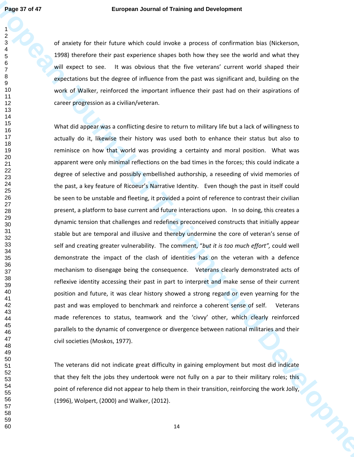of anxiety for their future which could invoke a process of confirmation bias (Nickerson, 1998) therefore their past experience shapes both how they see the world and what they will expect to see. It was obvious that the five veterans' current world shaped their expectations but the degree of influence from the past was significant and, building on the work of Walker, reinforced the important influence their past had on their aspirations of career progression as a civilian/veteran.

**European Journal of Training and Development**<br> **European Journal of Training and Development**<br> **European Journal of Training and Development**<br> **European Journal of Training and Development**<br> **European Journal of Training** What did appear was a conflicting desire to return to military life but a lack of willingness to actually do it, likewise their history was used both to enhance their status but also to reminisce on how that world was providing a certainty and moral position. What was apparent were only minimal reflections on the bad times in the forces; this could indicate a degree of selective and possibly embellished authorship, a reseeding of vivid memories of the past, a key feature of Ricoeur's Narrative Identity. Even though the past in itself could be seen to be unstable and fleeting, it provided a point of reference to contrast their civilian present, a platform to base current and future interactions upon. In so doing, this creates a dynamic tension that challenges and redefines preconceived constructs that initially appear stable but are temporal and illusive and thereby undermine the core of veteran's sense of self and creating greater vulnerability. The comment, "*but it is too much effort",* could well demonstrate the impact of the clash of identities has on the veteran with a defence mechanism to disengage being the consequence. Veterans clearly demonstrated acts of reflexive identity accessing their past in part to interpret and make sense of their current position and future, it was clear history showed a strong regard or even yearning for the past and was employed to benchmark and reinforce a coherent sense of self. Veterans made references to status, teamwork and the 'civvy' other, which clearly reinforced parallels to the dynamic of convergence or divergence between national militaries and their civil societies (Moskos, 1977).

The veterans did not indicate great difficulty in gaining employment but most did indicate that they felt the jobs they undertook were not fully on a par to their military roles; this point of reference did not appear to help them in their transition, reinforcing the work Jolly, (1996), Wolpert, (2000) and Walker, (2012).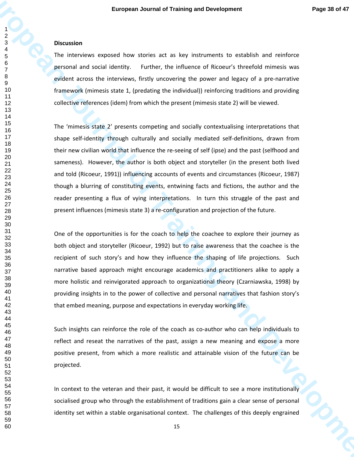#### **Discussion**

The interviews exposed how stories act as key instruments to establish and reinforce personal and social identity. Further, the influence of Ricoeur's threefold mimesis was evident across the interviews, firstly uncovering the power and legacy of a pre-narrative framework (mimesis state 1, (predating the individual)) reinforcing traditions and providing collective references (idem) from which the present (mimesis state 2) will be viewed.

European Journal of Training and Development<br> **Express the state of Training and Development**<br>
The intervenes stronged from theirs, the right incrementary are stated informed to<br>
point and the intervene function in the int The 'mimesis state 2' presents competing and socially contextualising interpretations that shape self-identity through culturally and socially mediated self-definitions, drawn from their new civilian world that influence the re-seeing of self (ipse) and the past (selfhood and sameness). However, the author is both object and storyteller (in the present both lived and told (Ricoeur, 1991)) influencing accounts of events and circumstances (Ricoeur, 1987) though a blurring of constituting events, entwining facts and fictions, the author and the reader presenting a flux of vying interpretations. In turn this struggle of the past and present influences (mimesis state 3) a re-configuration and projection of the future.

One of the opportunities is for the coach to help the coachee to explore their journey as both object and storyteller (Ricoeur, 1992) but to raise awareness that the coachee is the recipient of such story's and how they influence the shaping of life projections. Such narrative based approach might encourage academics and practitioners alike to apply a more holistic and reinvigorated approach to organizational theory (Czarniawska, 1998) by providing insights in to the power of collective and personal narratives that fashion story's that embed meaning, purpose and expectations in everyday working life.

Such insights can reinforce the role of the coach as co-author who can help individuals to reflect and reseat the narratives of the past, assign a new meaning and expose a more positive present, from which a more realistic and attainable vision of the future can be projected.

In context to the veteran and their past, it would be difficult to see a more institutionally socialised group who through the establishment of traditions gain a clear sense of personal identity set within a stable organisational context. The challenges of this deeply engrained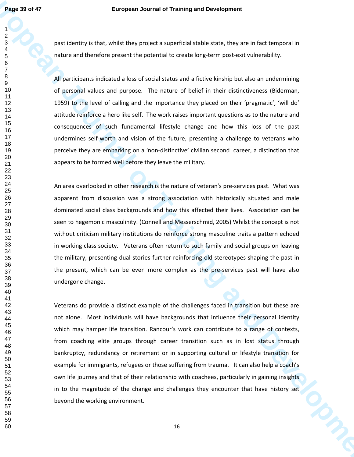past identity is that, whilst they project a superficial stable state, they are in fact temporal in nature and therefore present the potential to create long-term post-exit vulnerability.

All participants indicated a loss of social status and a fictive kinship but also an undermining of personal values and purpose. The nature of belief in their distinctiveness (Biderman, 1959) to the level of calling and the importance they placed on their 'pragmatic', 'will do' attitude reinforce a hero like self. The work raises important questions as to the nature and consequences of such fundamental lifestyle change and how this loss of the past undermines self-worth and vision of the future, presenting a challenge to veterans who perceive they are embarking on a 'non-distinctive' civilian second career, a distinction that appears to be formed well before they leave the military.

**European Journal of Training and Development**<br> **European Journal of Training and Development**<br> **European Journal of Training and Development**<br> **European Journal of Training and Development (i.e., they are in fact, tempera** An area overlooked in other research is the nature of veteran's pre-services past. What was apparent from discussion was a strong association with historically situated and male dominated social class backgrounds and how this affected their lives. Association can be seen to hegemonic masculinity. (Connell and Messerschmid, 2005) Whilst the concept is not without criticism military institutions do reinforce strong masculine traits a pattern echoed in working class society. Veterans often return to such family and social groups on leaving the military, presenting dual stories further reinforcing old stereotypes shaping the past in the present, which can be even more complex as the pre-services past will have also undergone change.

Veterans do provide a distinct example of the challenges faced in transition but these are not alone. Most individuals will have backgrounds that influence their personal identity which may hamper life transition. Rancour's work can contribute to a range of contexts, from coaching elite groups through career transition such as in lost status through bankruptcy, redundancy or retirement or in supporting cultural or lifestyle transition for example for immigrants, refugees or those suffering from trauma. It can also help a coach's own life journey and that of their relationship with coachees, particularly in gaining insights in to the magnitude of the change and challenges they encounter that have history set beyond the working environment.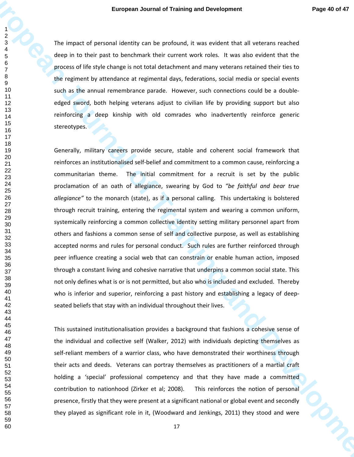The impact of personal identity can be profound, it was evident that all veterans reached deep in to their past to benchmark their current work roles. It was also evident that the process of life style change is not total detachment and many veterans retained their ties to the regiment by attendance at regimental days, federations, social media or special events such as the annual remembrance parade. However, such connections could be a doubleedged sword, both helping veterans adjust to civilian life by providing support but also reinforcing a deep kinship with old comrades who inadvertently reinforce generic stereotypes.

European Journal of Training and Development<br>
The impact of persons is entitled in the profession of Training and Development<br>
The impact of persons is benchment that correct work relate. It was also entered that the<br>
Seco Generally, military careers provide secure, stable and coherent social framework that reinforces an institutionalised self-belief and commitment to a common cause, reinforcing a communitarian theme. The initial commitment for a recruit is set by the public proclamation of an oath of allegiance, swearing by God to *"be faithful and bear true allegiance"* to the monarch (state), as if a personal calling. This undertaking is bolstered through recruit training, entering the regimental system and wearing a common uniform, systemically reinforcing a common collective identity setting military personnel apart from others and fashions a common sense of self and collective purpose, as well as establishing accepted norms and rules for personal conduct. Such rules are further reinforced through peer influence creating a social web that can constrain or enable human action, imposed through a constant living and cohesive narrative that underpins a common social state. This not only defines what is or is not permitted, but also who is included and excluded. Thereby who is inferior and superior, reinforcing a past history and establishing a legacy of deepseated beliefs that stay with an individual throughout their lives.

This sustained institutionalisation provides a background that fashions a cohesive sense of the individual and collective self (Walker, 2012) with individuals depicting themselves as self-reliant members of a warrior class, who have demonstrated their worthiness through their acts and deeds. Veterans can portray themselves as practitioners of a martial craft holding a 'special' professional competency and that they have made a committed contribution to nationhood (Zirker et al; 2008). This reinforces the notion of personal presence, firstly that they were present at a significant national or global event and secondly they played as significant role in it, (Woodward and Jenkings, 2011) they stood and were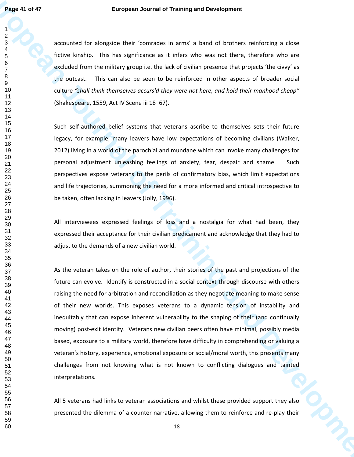## **Page 41 of 47 European Journal of Training and Development**

accounted for alongside their 'comrades in arms' a band of brothers reinforcing a close fictive kinship. This has significance as it infers who was not there, therefore who are excluded from the military group i.e. the lack of civilian presence that projects 'the civvy' as the outcast. This can also be seen to be reinforced in other aspects of broader social culture *"shall think themselves accurs'd they were not here, and hold their manhood cheap"*  (Shakespeare, 1559, Act IV Scene iii 18–67).

Such self-authored belief systems that veterans ascribe to themselves sets their future legacy, for example, many leavers have low expectations of becoming civilians (Walker, 2012) living in a world of the parochial and mundane which can invoke many challenges for personal adjustment unleashing feelings of anxiety, fear, despair and shame. Such perspectives expose veterans to the perils of confirmatory bias, which limit expectations and life trajectories, summoning the need for a more informed and critical introspective to be taken, often lacking in leavers (Jolly, 1996).

All interviewees expressed feelings of loss and a nostalgia for what had been, they expressed their acceptance for their civilian predicament and acknowledge that they had to adjust to the demands of a new civilian world.

**European Journal of Training and Development**<br> **European Journal of Training and Development**<br> **European Journal of Training and Development**<br> **European Journal of Training and Development and the state of the state of th** As the veteran takes on the role of author, their stories of the past and projections of the future can evolve. Identify is constructed in a social context through discourse with others raising the need for arbitration and reconciliation as they negotiate meaning to make sense of their new worlds. This exposes veterans to a dynamic tension of instability and inequitably that can expose inherent vulnerability to the shaping of their (and continually moving) post-exit identity. Veterans new civilian peers often have minimal, possibly media based, exposure to a military world, therefore have difficulty in comprehending or valuing a veteran's history, experience, emotional exposure or social/moral worth, this presents many challenges from not knowing what is not known to conflicting dialogues and tainted interpretations.

All 5 veterans had links to veteran associations and whilst these provided support they also presented the dilemma of a counter narrative, allowing them to reinforce and re-play their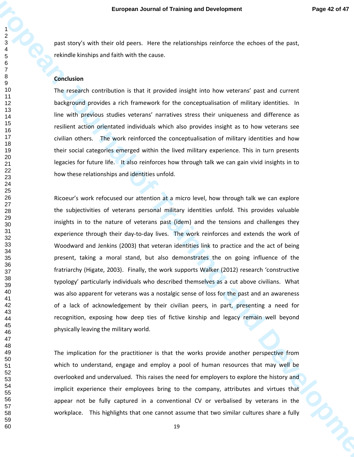past story's with their old peers. Here the relationships reinforce the echoes of the past, rekindle kinships and faith with the cause.

#### **Conclusion**

The research contribution is that it provided insight into how veterans' past and current background provides a rich framework for the conceptualisation of military identities. In line with previous studies veterans' narratives stress their uniqueness and difference as resilient action orientated individuals which also provides insight as to how veterans see civilian others. The work reinforced the conceptualisation of military identities and how their social categories emerged within the lived military experience. This in turn presents legacies for future life. It also reinforces how through talk we can gain vivid insights in to how these relationships and identities unfold.

**European Journal of Training and Development**<br> **European Journal of Training and Development**<br> **Experimental of the straining and Development intervents and the straining and Development of the setsing<br>**  $\frac{1}{2}$  **points a** Ricoeur's work refocused our attention at a micro level, how through talk we can explore the subjectivities of veterans personal military identities unfold. This provides valuable insights in to the nature of veterans past (idem) and the tensions and challenges they experience through their day-to-day lives. The work reinforces and extends the work of Woodward and Jenkins (2003) that veteran identities link to practice and the act of being present, taking a moral stand, but also demonstrates the on going influence of the fratriarchy (Higate, 2003). Finally, the work supports Walker (2012) research 'constructive typology' particularly individuals who described themselves as a cut above civilians. What was also apparent for veterans was a nostalgic sense of loss for the past and an awareness of a lack of acknowledgement by their civilian peers, in part, presenting a need for recognition, exposing how deep ties of fictive kinship and legacy remain well beyond physically leaving the military world.

The implication for the practitioner is that the works provide another perspective from which to understand, engage and employ a pool of human resources that may well be overlooked and undervalued. This raises the need for employers to explore the history and implicit experience their employees bring to the company, attributes and virtues that appear not be fully captured in a conventional CV or verbalised by veterans in the workplace. This highlights that one cannot assume that two similar cultures share a fully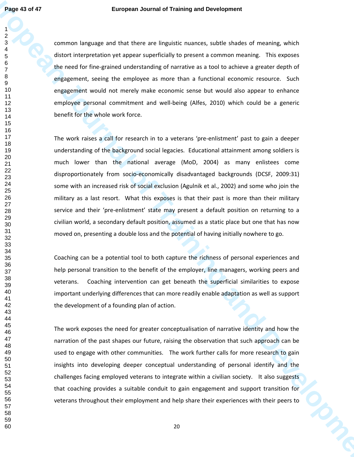common language and that there are linguistic nuances, subtle shades of meaning, which distort interpretation yet appear superficially to present a common meaning. This exposes the need for fine-grained understanding of narrative as a tool to achieve a greater depth of engagement, seeing the employee as more than a functional economic resource. Such engagement would not merely make economic sense but would also appear to enhance employee personal commitment and well-being (Alfes, 2010) which could be a generic benefit for the whole work force.

**European Journal of Training and Development**<br> **European Journal of Training and Development**<br> **European Journal of Training and Development**<br> **European Journal of Training and Development and Training and Development**<br> The work raises a call for research in to a veterans 'pre-enlistment' past to gain a deeper understanding of the background social legacies. Educational attainment among soldiers is much lower than the national average (MoD, 2004) as many enlistees come disproportionately from socio-economically disadvantaged backgrounds (DCSF, 2009:31) some with an increased risk of social exclusion (Agulnik et al., 2002) and some who join the military as a last resort. What this exposes is that their past is more than their military service and their 'pre-enlistment' state may present a default position on returning to a civilian world, a secondary default position, assumed as a static place but one that has now moved on, presenting a double loss and the potential of having initially nowhere to go.

Coaching can be a potential tool to both capture the richness of personal experiences and help personal transition to the benefit of the employer, line managers, working peers and veterans. Coaching intervention can get beneath the superficial similarities to expose important underlying differences that can more readily enable adaptation as well as support the development of a founding plan of action.

The work exposes the need for greater conceptualisation of narrative identity and how the narration of the past shapes our future, raising the observation that such approach can be used to engage with other communities. The work further calls for more research to gain insights into developing deeper conceptual understanding of personal identify and the challenges facing employed veterans to integrate within a civilian society. It also suggests that coaching provides a suitable conduit to gain engagement and support transition for veterans throughout their employment and help share their experiences with their peers to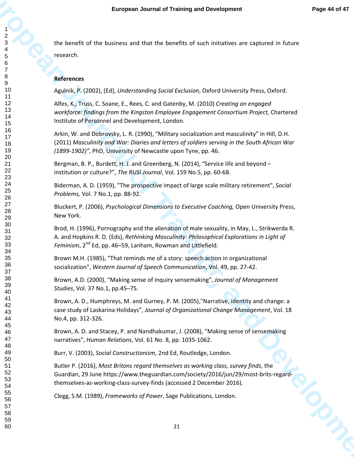the benefit of the business and that the benefits of such initiatives are captured in future research.

# **References**

Agulnik, P. (2002), (Ed), *Understanding Social Exclusion*, Oxford University Press, Oxford.

**European Journal of Training and Development Frage 44 of 47**<br>
1. The benefit of the top interest and that the benefits of solutionizing are development<br> **European Journal of the top interest and that the benefits of sol** Alfes, K., Truss, C. Soane, E., Rees, C. and Gatenby, M. (2010) *Creating an engaged workforce: findings from the Kingston Employee Engagement Consortium Project,* Chartered Institute of Personnel and Development, London.

Arkin, W. and Dobrovsky, L. R. (1990), "Military socialization and masculinity" in Hill, D.H. (2011) *Masculinity and War: Diaries and letters of soldiers serving in the South African War (1899-1902)"*, PhD, University of Newcastle upon Tyne, pp. 46.

Bergman, B. P., Burdett, H. J. and Greenberg, N. (2014), "Service life and beyond – institution or culture?", *The RUSI Journal*, Vol. 159 No.5, pp. 60-68.

Biderman, A. D. (1959), "The prospective impact of large scale military retirement", *Social Problems,* Vol. 7 No.1, pp. 88-92.

Bluckert, P. (2006), *Psychological Dimensions to Executive Coaching,* Open University Press, New York.

Brod, H. (1996), Pornography and the alienation of male sexuality, in May, L., Strikwerda R. A. and Hopkins R. D. (Eds), *Rethinking Masculinity: Philosophical Explorations in Light of*  Feminism, 2<sup>nd</sup> Ed, pp. 46–59, Lanham, Rowman and Littlefield.

Brown M.H. (1985), "That reminds me of a story: speech action in organizational socialization", *Western Journal of Speech Communication*, Vol. 49, pp. 27-42.

Brown, A.D. (2000), "Making sense of inquiry sensemaking", *Journal of Management Studies*, Vol. 37 No.1, pp.45–75.

Brown, A. D., Humphreys, M. and Gurney, P. M. (2005),"Narrative, identity and change: a case study of Laskarina Holidays", *Journal of Organizational Change Management*, Vol. 18 No.4, pp. 312-326.

Brown, A. D. and Stacey, P. and Nandhakumar, J. (2008), "Making sense of sensemaking narratives", *Human Relations*, Vol. 61 No. 8, pp. 1035-1062.

Burr, V. (2003), *Social Constructionism,* 2nd Ed, Routledge, London.

Butler P. (2016), *Most Britons regard themselves as working class, survey finds*, the Guardian, 29 June https://www.theguardian.com/society/2016/jun/29/most-brits-regardthemselves-as-working-class-survey-finds (accessed 2 December 2016).

Clegg, S.M. (1989), *Frameworks of Power*, Sage Publications, London.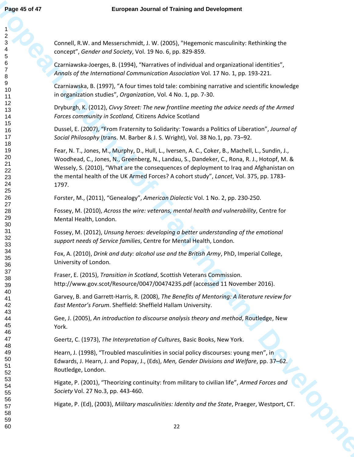Connell, R.W. and Messerschmidt, J. W. (2005), "Hegemonic masculinity: Rethinking the concept", *Gender and Society*, Vol. 19 No. 6, pp. 829-859.

Czarniawska-Joerges, B. (1994), "Narratives of individual and organizational identities", *Annals of the International Communication Association* Vol. 17 No. 1, pp. 193-221.

Czarniawska, B. (1997), "A four times told tale: combining narrative and scientific knowledge in organization studies", *Organization*, Vol. 4 No. 1, pp. 7-30.

Dryburgh, K. (2012), *Civvy Street: The new frontline meeting the advice needs of the Armed Forces community in Scotland,* Citizens Advice Scotland

Dussel, E. (2007), "From Fraternity to Solidarity: Towards a Politics of Liberation", *Journal of Social Philosophy* (trans. M. Barber & J. S. Wright), Vol. 38 No.1, pp. 73–92.

**European Journal Training and Development (and the USE)**<br> **European Journal of Training and Development (and the USE)**<br>
Correllation (and Mariam China (b) 19005). The procedure is included the proposition of the USE Corr Fear, N. T., Jones, M., Murphy, D., Hull, L., Iversen, A. C., Coker, B., Machell, L., Sundin, J., Woodhead, C., Jones, N., Greenberg, N., Landau, S., Dandeker, C., Rona, R. J., Hotopf, M. & Wessely, S. (2010), "What are the consequences of deployment to Iraq and Afghanistan on the mental health of the UK Armed Forces? A cohort study", *Lancet*, Vol. 375, pp. 1783- 1797.

Forster, M., (2011), "Genealogy", *American Dialectic* Vol. 1 No. 2, pp. 230-250.

Fossey, M. (2010), *Across the wire: veterans, mental health and vulnerability*, Centre for Mental Health, London.

Fossey, M. (2012), *Unsung heroes: developing a better understanding of the emotional support needs of Service families*, Centre for Mental Health, London.

Fox, A. (2010), *Drink and duty: alcohol use and the British Army*, PhD, Imperial College, University of London.

Fraser, E. (2015), *Transition in Scotland*, Scottish Veterans Commission. http://www.gov.scot/Resource/0047/00474235.pdf (accessed 11 November 2016).

Garvey, B. and Garrett-Harris, R. (2008), *The Benefits of Mentoring: A literature review for East Mentor's Forum*. Sheffield: Sheffield Hallam University.

Gee, J. (2005), *An introduction to discourse analysis theory and method*, Routledge, New York.

Geertz, C. (1973), *The Interpretation of Cultures,* Basic Books, New York.

Hearn, J. (1998), "Troubled masculinities in social policy discourses: young men", in Edwards, J. Hearn, J. and Popay, J., (Eds), *Men, Gender Divisions and Welfare*, pp. 37–62. Routledge, London.

Higate, P. (2001), "Theorizing continuity: from military to civilian life", *Armed Forces and Society* Vol. 27 No.3, pp. 443-460.

Higate, P. (Ed), (2003), *Military masculinities: Identity and the State*, Praeger, Westport, CT.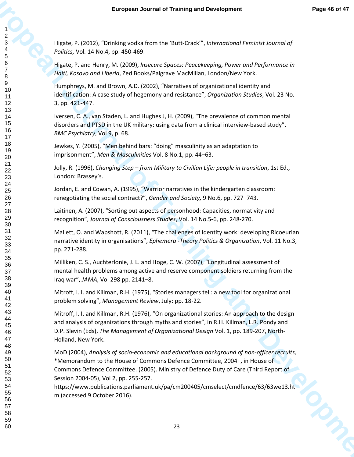Higate, P. (2012), "Drinking vodka from the 'Butt-Crack'", *International Feminist Journal of Politics,* Vol*.* 14 No.4, pp. 450-469.

Higate, P. and Henry, M. (2009), *Insecure Spaces: Peacekeeping, Power and Performance in Haiti, Kosovo and Liberia*, Zed Books/Palgrave MacMillan, London/New York.

Humphreys, M. and Brown, A.D. (2002), "Narratives of organizational identity and identification: A case study of hegemony and resistance", *Organization Studies*, Vol. 23 No. 3, pp. 421-447.

Iversen, C. A., van Staden, L. and Hughes J, H. (2009), "The prevalence of common mental disorders and PTSD in the UK military: using data from a clinical interview-based study", *BMC Psychiatry*, Vol 9, p. 68.

Jewkes, Y. (2005), "Men behind bars: "doing" masculinity as an adaptation to imprisonment", *Men & Masculinities* Vol. 8 No.1, pp. 44–63.

Jolly, R. (1996), *Changing Step – from Military to Civilian Life: people in transition*, 1st Ed., London: Brassey's.

Jordan, E. and Cowan, A. (1995), "Warrior narratives in the kindergarten classroom: renegotiating the social contract?", *Gender and Society,* 9 No.6, pp. 727–743.

Laitinen, A. (2007), "Sorting out aspects of personhood: Capacities, normativity and recognition", *Journal of Consciousness Studies*, Vol. 14 No.5-6, pp. 248-270.

Mallett, O. and Wapshott, R. (2011), "The challenges of identity work: developing Ricoeurian narrative identity in organisations", *Ephemera -Theory Politics & Organization*, Vol. 11 No.3, pp. 271-288.

Milliken, C. S., Auchterlonie, J. L. and Hoge, C. W. (2007), "Longitudinal assessment of mental health problems among active and reserve component soldiers returning from the Iraq war", *JAMA*, Vol 298 pp. 2141–8.

Mitroff, I. I. and Killman, R.H. (1975), "Stories managers tell: a new tool for organizational problem solving", *Management Review*, July: pp. 18-22.

Mitroff, I. I. and Killman, R.H. (1976), "On organizational stories: An approach to the design and analysis of organizations through myths and stories", in R.H. Killman, L.R. Pondy and D.P. Slevin (Eds), *The Management of Organizational Design* Vol. 1, pp. 189-207, North-Holland, New York.

**European Journal of Training and Development Propis (A)**<br>  $\frac{1}{2}$ <br> **European Journal of Training and Development Propis (A)**<br>  $\frac{1}{2}$ <br> **European Journal of Training and Development Resolution**<br> **European Journal of Tr** MoD (2004), *Analysis of socio-economic and educational background of non-officer recruits,* \*Memorandum to the House of Commons Defence Committee, 2004+, in House of Commons Defence Committee. (2005). Ministry of Defence Duty of Care (Third Report of Session 2004-05), Vol 2, pp. 255-257.

https://www.publications.parliament.uk/pa/cm200405/cmselect/cmdfence/63/63we13.ht m (accessed 9 October 2016).